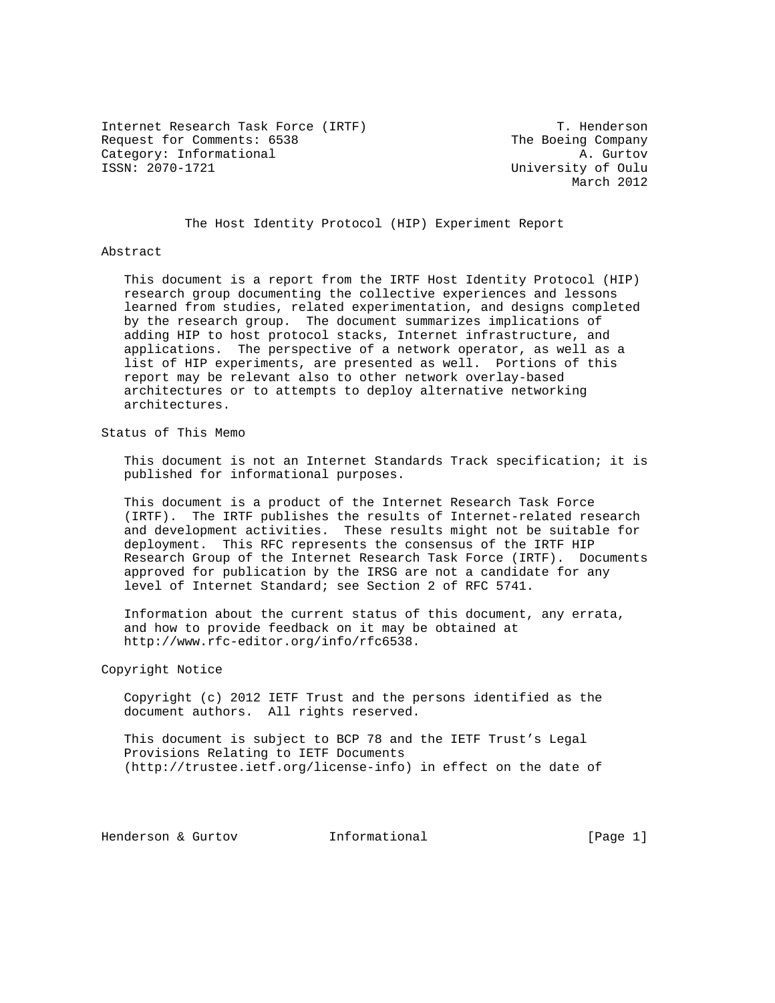Internet Research Task Force (IRTF) T. Henderson Request for Comments: 6538 The Boeing Company Category: Informational and the control of the control of the Category: Informational and the control of  $\alpha$  and  $\alpha$  and  $\alpha$  and  $\alpha$  and  $\alpha$  and  $\alpha$  and  $\alpha$  and  $\alpha$  and  $\alpha$  and  $\alpha$  and  $\alpha$  and  $\alpha$  and  $\alpha$  and

University of Oulu March 2012

The Host Identity Protocol (HIP) Experiment Report

#### Abstract

 This document is a report from the IRTF Host Identity Protocol (HIP) research group documenting the collective experiences and lessons learned from studies, related experimentation, and designs completed by the research group. The document summarizes implications of adding HIP to host protocol stacks, Internet infrastructure, and applications. The perspective of a network operator, as well as a list of HIP experiments, are presented as well. Portions of this report may be relevant also to other network overlay-based architectures or to attempts to deploy alternative networking architectures.

Status of This Memo

 This document is not an Internet Standards Track specification; it is published for informational purposes.

 This document is a product of the Internet Research Task Force (IRTF). The IRTF publishes the results of Internet-related research and development activities. These results might not be suitable for deployment. This RFC represents the consensus of the IRTF HIP Research Group of the Internet Research Task Force (IRTF). Documents approved for publication by the IRSG are not a candidate for any level of Internet Standard; see Section 2 of RFC 5741.

 Information about the current status of this document, any errata, and how to provide feedback on it may be obtained at http://www.rfc-editor.org/info/rfc6538.

# Copyright Notice

 Copyright (c) 2012 IETF Trust and the persons identified as the document authors. All rights reserved.

 This document is subject to BCP 78 and the IETF Trust's Legal Provisions Relating to IETF Documents (http://trustee.ietf.org/license-info) in effect on the date of

Henderson & Gurtov **Informational** [Page 1]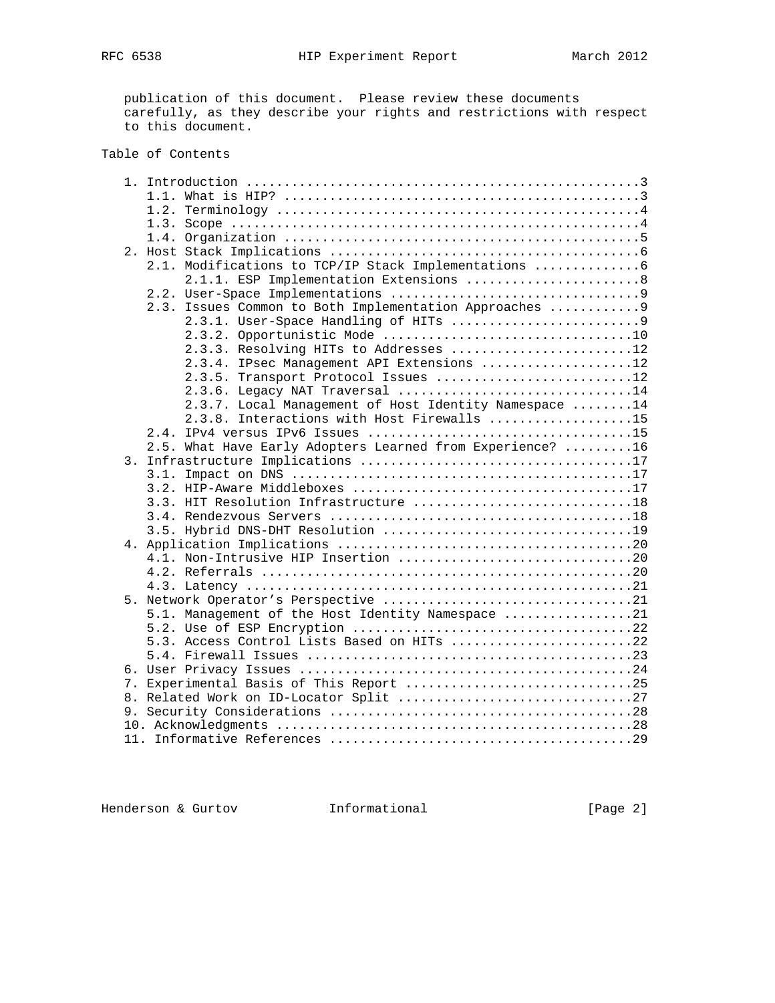publication of this document. Please review these documents carefully, as they describe your rights and restrictions with respect to this document.

# Table of Contents

|  | 2.1. Modifications to TCP/IP Stack Implementations  6     |
|--|-----------------------------------------------------------|
|  | 2.1.1. ESP Implementation Extensions 8                    |
|  |                                                           |
|  | 2.3. Issues Common to Both Implementation Approaches  9   |
|  |                                                           |
|  |                                                           |
|  | 2.3.3. Resolving HITs to Addresses 12                     |
|  | 2.3.4. IPsec Management API Extensions 12                 |
|  | 2.3.5. Transport Protocol Issues 12                       |
|  | 2.3.6. Legacy NAT Traversal 14                            |
|  | 2.3.7. Local Management of Host Identity Namespace 14     |
|  | 2.3.8. Interactions with Host Firewalls 15                |
|  |                                                           |
|  | 2.5. What Have Early Adopters Learned from Experience? 16 |
|  |                                                           |
|  |                                                           |
|  |                                                           |
|  | 3.3. HIT Resolution Infrastructure 18                     |
|  |                                                           |
|  |                                                           |
|  |                                                           |
|  |                                                           |
|  |                                                           |
|  |                                                           |
|  | 5.1. Management of the Host Identity Namespace 21         |
|  |                                                           |
|  | 5.3. Access Control Lists Based on HITs 22                |
|  |                                                           |
|  |                                                           |
|  | 7. Experimental Basis of This Report 25                   |
|  |                                                           |
|  |                                                           |
|  |                                                           |
|  |                                                           |
|  |                                                           |

Henderson & Gurtov **Informational** [Page 2]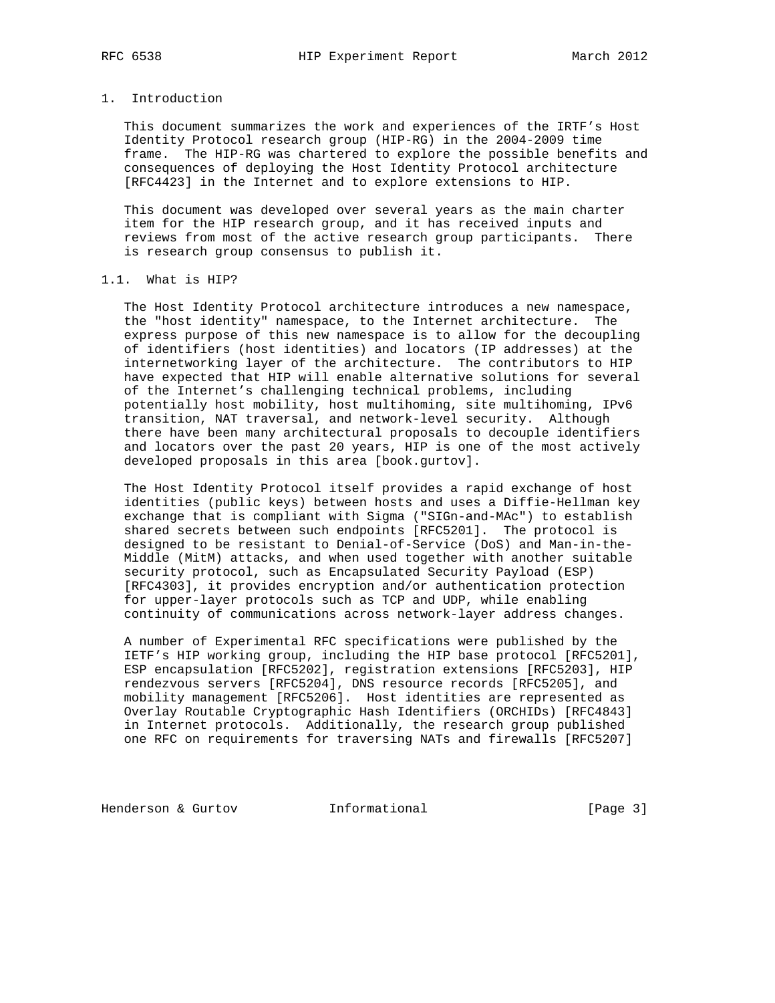# 1. Introduction

 This document summarizes the work and experiences of the IRTF's Host Identity Protocol research group (HIP-RG) in the 2004-2009 time frame. The HIP-RG was chartered to explore the possible benefits and consequences of deploying the Host Identity Protocol architecture [RFC4423] in the Internet and to explore extensions to HIP.

 This document was developed over several years as the main charter item for the HIP research group, and it has received inputs and reviews from most of the active research group participants. There is research group consensus to publish it.

# 1.1. What is HIP?

 The Host Identity Protocol architecture introduces a new namespace, the "host identity" namespace, to the Internet architecture. The express purpose of this new namespace is to allow for the decoupling of identifiers (host identities) and locators (IP addresses) at the internetworking layer of the architecture. The contributors to HIP have expected that HIP will enable alternative solutions for several of the Internet's challenging technical problems, including potentially host mobility, host multihoming, site multihoming, IPv6 transition, NAT traversal, and network-level security. Although there have been many architectural proposals to decouple identifiers and locators over the past 20 years, HIP is one of the most actively developed proposals in this area [book.gurtov].

 The Host Identity Protocol itself provides a rapid exchange of host identities (public keys) between hosts and uses a Diffie-Hellman key exchange that is compliant with Sigma ("SIGn-and-MAc") to establish shared secrets between such endpoints [RFC5201]. The protocol is designed to be resistant to Denial-of-Service (DoS) and Man-in-the- Middle (MitM) attacks, and when used together with another suitable security protocol, such as Encapsulated Security Payload (ESP) [RFC4303], it provides encryption and/or authentication protection for upper-layer protocols such as TCP and UDP, while enabling continuity of communications across network-layer address changes.

 A number of Experimental RFC specifications were published by the IETF's HIP working group, including the HIP base protocol [RFC5201], ESP encapsulation [RFC5202], registration extensions [RFC5203], HIP rendezvous servers [RFC5204], DNS resource records [RFC5205], and mobility management [RFC5206]. Host identities are represented as Overlay Routable Cryptographic Hash Identifiers (ORCHIDs) [RFC4843] in Internet protocols. Additionally, the research group published one RFC on requirements for traversing NATs and firewalls [RFC5207]

Henderson & Gurtov **Informational** [Page 3]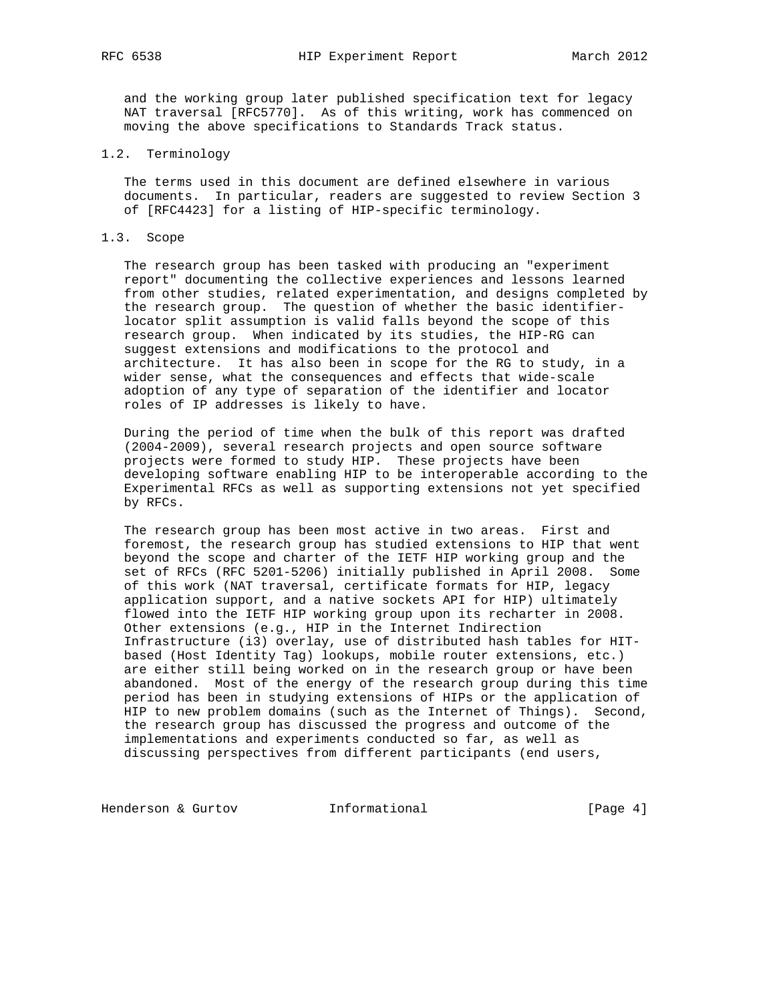and the working group later published specification text for legacy NAT traversal [RFC5770]. As of this writing, work has commenced on moving the above specifications to Standards Track status.

#### 1.2. Terminology

 The terms used in this document are defined elsewhere in various documents. In particular, readers are suggested to review Section 3 of [RFC4423] for a listing of HIP-specific terminology.

# 1.3. Scope

 The research group has been tasked with producing an "experiment report" documenting the collective experiences and lessons learned from other studies, related experimentation, and designs completed by the research group. The question of whether the basic identifier locator split assumption is valid falls beyond the scope of this research group. When indicated by its studies, the HIP-RG can suggest extensions and modifications to the protocol and architecture. It has also been in scope for the RG to study, in a wider sense, what the consequences and effects that wide-scale adoption of any type of separation of the identifier and locator roles of IP addresses is likely to have.

 During the period of time when the bulk of this report was drafted (2004-2009), several research projects and open source software projects were formed to study HIP. These projects have been developing software enabling HIP to be interoperable according to the Experimental RFCs as well as supporting extensions not yet specified by RFCs.

 The research group has been most active in two areas. First and foremost, the research group has studied extensions to HIP that went beyond the scope and charter of the IETF HIP working group and the set of RFCs (RFC 5201-5206) initially published in April 2008. Some of this work (NAT traversal, certificate formats for HIP, legacy application support, and a native sockets API for HIP) ultimately flowed into the IETF HIP working group upon its recharter in 2008. Other extensions (e.g., HIP in the Internet Indirection Infrastructure (i3) overlay, use of distributed hash tables for HIT based (Host Identity Tag) lookups, mobile router extensions, etc.) are either still being worked on in the research group or have been abandoned. Most of the energy of the research group during this time period has been in studying extensions of HIPs or the application of HIP to new problem domains (such as the Internet of Things). Second, the research group has discussed the progress and outcome of the implementations and experiments conducted so far, as well as discussing perspectives from different participants (end users,

Henderson & Gurtov **Informational** [Page 4]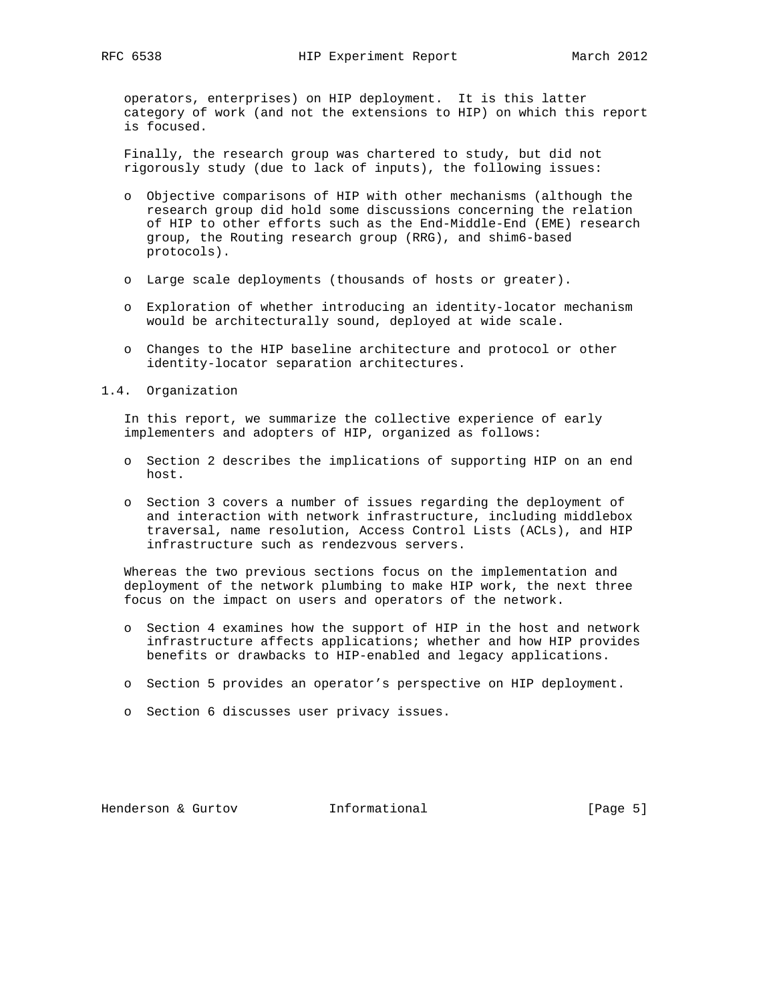operators, enterprises) on HIP deployment. It is this latter category of work (and not the extensions to HIP) on which this report is focused.

 Finally, the research group was chartered to study, but did not rigorously study (due to lack of inputs), the following issues:

- o Objective comparisons of HIP with other mechanisms (although the research group did hold some discussions concerning the relation of HIP to other efforts such as the End-Middle-End (EME) research group, the Routing research group (RRG), and shim6-based protocols).
- o Large scale deployments (thousands of hosts or greater).
- o Exploration of whether introducing an identity-locator mechanism would be architecturally sound, deployed at wide scale.
- o Changes to the HIP baseline architecture and protocol or other identity-locator separation architectures.
- 1.4. Organization

 In this report, we summarize the collective experience of early implementers and adopters of HIP, organized as follows:

- o Section 2 describes the implications of supporting HIP on an end host.
- o Section 3 covers a number of issues regarding the deployment of and interaction with network infrastructure, including middlebox traversal, name resolution, Access Control Lists (ACLs), and HIP infrastructure such as rendezvous servers.

 Whereas the two previous sections focus on the implementation and deployment of the network plumbing to make HIP work, the next three focus on the impact on users and operators of the network.

- o Section 4 examines how the support of HIP in the host and network infrastructure affects applications; whether and how HIP provides benefits or drawbacks to HIP-enabled and legacy applications.
- o Section 5 provides an operator's perspective on HIP deployment.
- o Section 6 discusses user privacy issues.

Henderson & Gurtov **Informational** [Page 5]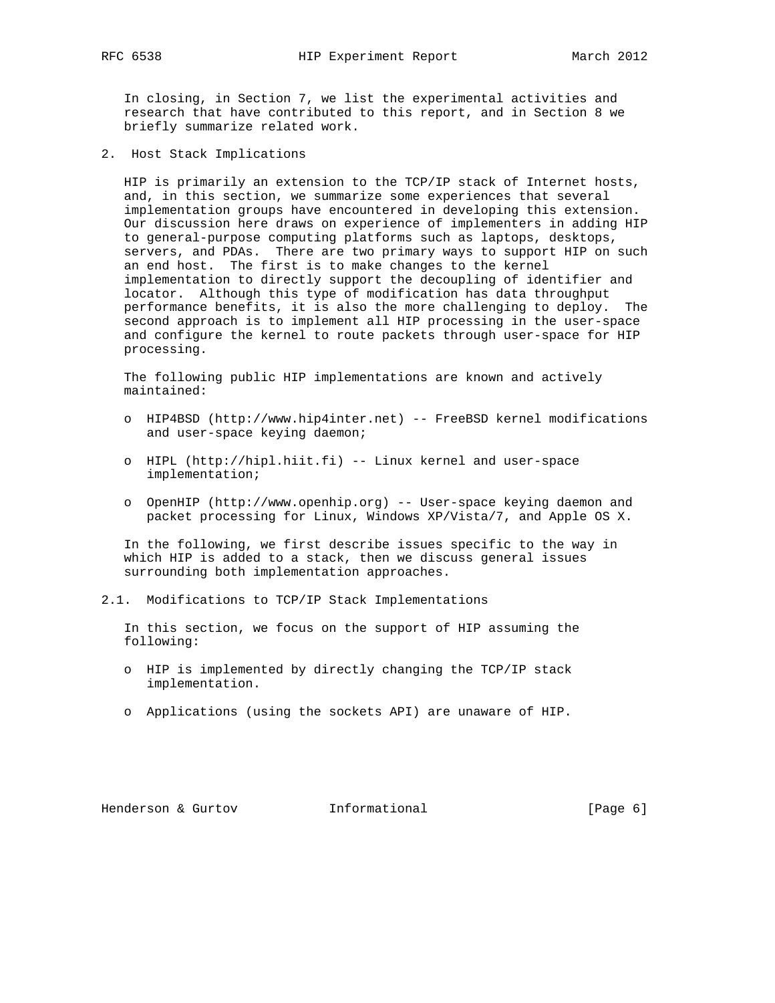In closing, in Section 7, we list the experimental activities and research that have contributed to this report, and in Section 8 we briefly summarize related work.

2. Host Stack Implications

 HIP is primarily an extension to the TCP/IP stack of Internet hosts, and, in this section, we summarize some experiences that several implementation groups have encountered in developing this extension. Our discussion here draws on experience of implementers in adding HIP to general-purpose computing platforms such as laptops, desktops, servers, and PDAs. There are two primary ways to support HIP on such an end host. The first is to make changes to the kernel implementation to directly support the decoupling of identifier and locator. Although this type of modification has data throughput performance benefits, it is also the more challenging to deploy. The second approach is to implement all HIP processing in the user-space and configure the kernel to route packets through user-space for HIP processing.

 The following public HIP implementations are known and actively maintained:

- o HIP4BSD (http://www.hip4inter.net) -- FreeBSD kernel modifications and user-space keying daemon;
- o HIPL (http://hipl.hiit.fi) -- Linux kernel and user-space implementation;
- o OpenHIP (http://www.openhip.org) -- User-space keying daemon and packet processing for Linux, Windows XP/Vista/7, and Apple OS X.

 In the following, we first describe issues specific to the way in which HIP is added to a stack, then we discuss general issues surrounding both implementation approaches.

2.1. Modifications to TCP/IP Stack Implementations

 In this section, we focus on the support of HIP assuming the following:

- o HIP is implemented by directly changing the TCP/IP stack implementation.
- o Applications (using the sockets API) are unaware of HIP.

Henderson & Gurtov **Informational** [Page 6]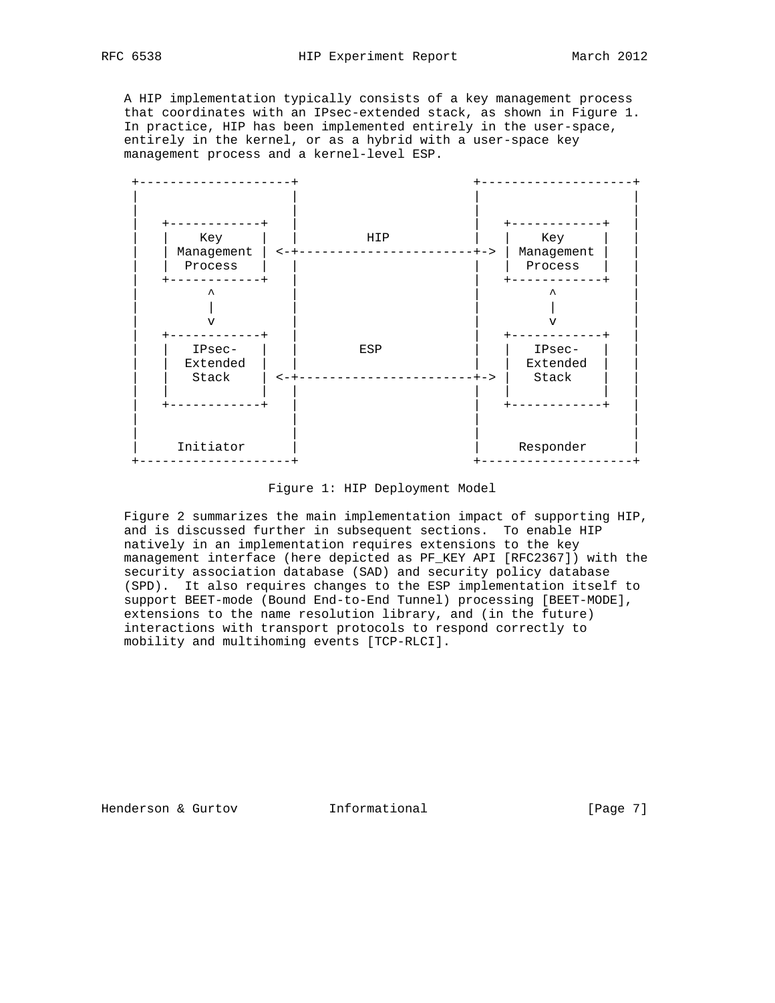A HIP implementation typically consists of a key management process that coordinates with an IPsec-extended stack, as shown in Figure 1. In practice, HIP has been implemented entirely in the user-space, entirely in the kernel, or as a hybrid with a user-space key management process and a kernel-level ESP.



Figure 1: HIP Deployment Model

 Figure 2 summarizes the main implementation impact of supporting HIP, and is discussed further in subsequent sections. To enable HIP natively in an implementation requires extensions to the key management interface (here depicted as PF KEY API [RFC2367]) with the security association database (SAD) and security policy database (SPD). It also requires changes to the ESP implementation itself to support BEET-mode (Bound End-to-End Tunnel) processing [BEET-MODE], extensions to the name resolution library, and (in the future) interactions with transport protocols to respond correctly to mobility and multihoming events [TCP-RLCI].

Henderson & Gurtov **Informational** [Page 7]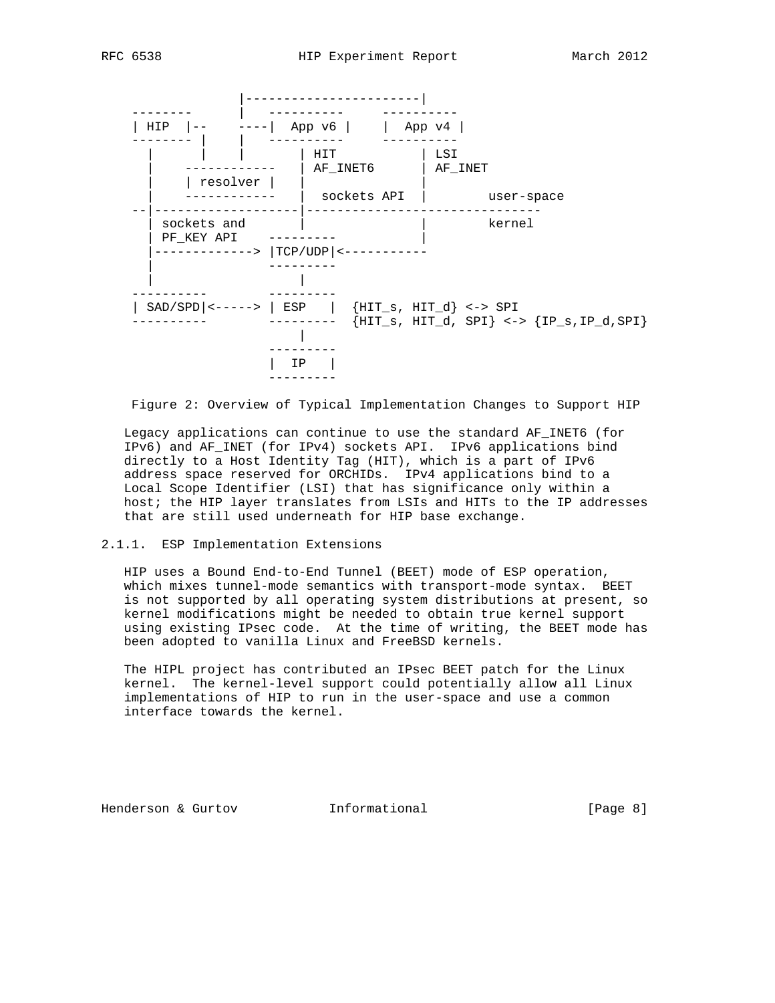



Figure 2: Overview of Typical Implementation Changes to Support HIP

 Legacy applications can continue to use the standard AF\_INET6 (for IPv6) and AF\_INET (for IPv4) sockets API. IPv6 applications bind directly to a Host Identity Tag (HIT), which is a part of IPv6 address space reserved for ORCHIDs. IPv4 applications bind to a Local Scope Identifier (LSI) that has significance only within a host; the HIP layer translates from LSIs and HITs to the IP addresses that are still used underneath for HIP base exchange.

2.1.1. ESP Implementation Extensions

 HIP uses a Bound End-to-End Tunnel (BEET) mode of ESP operation, which mixes tunnel-mode semantics with transport-mode syntax. BEET is not supported by all operating system distributions at present, so kernel modifications might be needed to obtain true kernel support using existing IPsec code. At the time of writing, the BEET mode has been adopted to vanilla Linux and FreeBSD kernels.

 The HIPL project has contributed an IPsec BEET patch for the Linux kernel. The kernel-level support could potentially allow all Linux implementations of HIP to run in the user-space and use a common interface towards the kernel.

Henderson & Gurtov **Informational** [Page 8]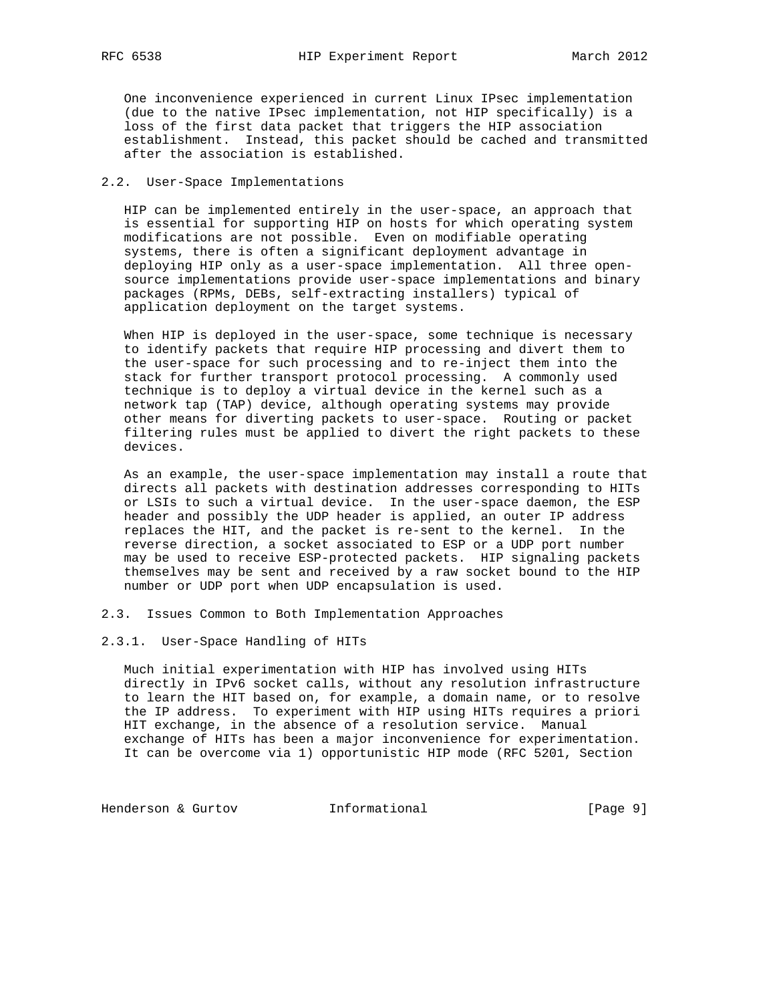One inconvenience experienced in current Linux IPsec implementation (due to the native IPsec implementation, not HIP specifically) is a loss of the first data packet that triggers the HIP association establishment. Instead, this packet should be cached and transmitted after the association is established.

# 2.2. User-Space Implementations

 HIP can be implemented entirely in the user-space, an approach that is essential for supporting HIP on hosts for which operating system modifications are not possible. Even on modifiable operating systems, there is often a significant deployment advantage in deploying HIP only as a user-space implementation. All three open source implementations provide user-space implementations and binary packages (RPMs, DEBs, self-extracting installers) typical of application deployment on the target systems.

 When HIP is deployed in the user-space, some technique is necessary to identify packets that require HIP processing and divert them to the user-space for such processing and to re-inject them into the stack for further transport protocol processing. A commonly used technique is to deploy a virtual device in the kernel such as a network tap (TAP) device, although operating systems may provide other means for diverting packets to user-space. Routing or packet filtering rules must be applied to divert the right packets to these devices.

 As an example, the user-space implementation may install a route that directs all packets with destination addresses corresponding to HITs or LSIs to such a virtual device. In the user-space daemon, the ESP header and possibly the UDP header is applied, an outer IP address replaces the HIT, and the packet is re-sent to the kernel. In the reverse direction, a socket associated to ESP or a UDP port number may be used to receive ESP-protected packets. HIP signaling packets themselves may be sent and received by a raw socket bound to the HIP number or UDP port when UDP encapsulation is used.

- 2.3. Issues Common to Both Implementation Approaches
- 2.3.1. User-Space Handling of HITs

 Much initial experimentation with HIP has involved using HITs directly in IPv6 socket calls, without any resolution infrastructure to learn the HIT based on, for example, a domain name, or to resolve the IP address. To experiment with HIP using HITs requires a priori HIT exchange, in the absence of a resolution service. Manual exchange of HITs has been a major inconvenience for experimentation. It can be overcome via 1) opportunistic HIP mode (RFC 5201, Section

Henderson & Gurtov **Informational** [Page 9]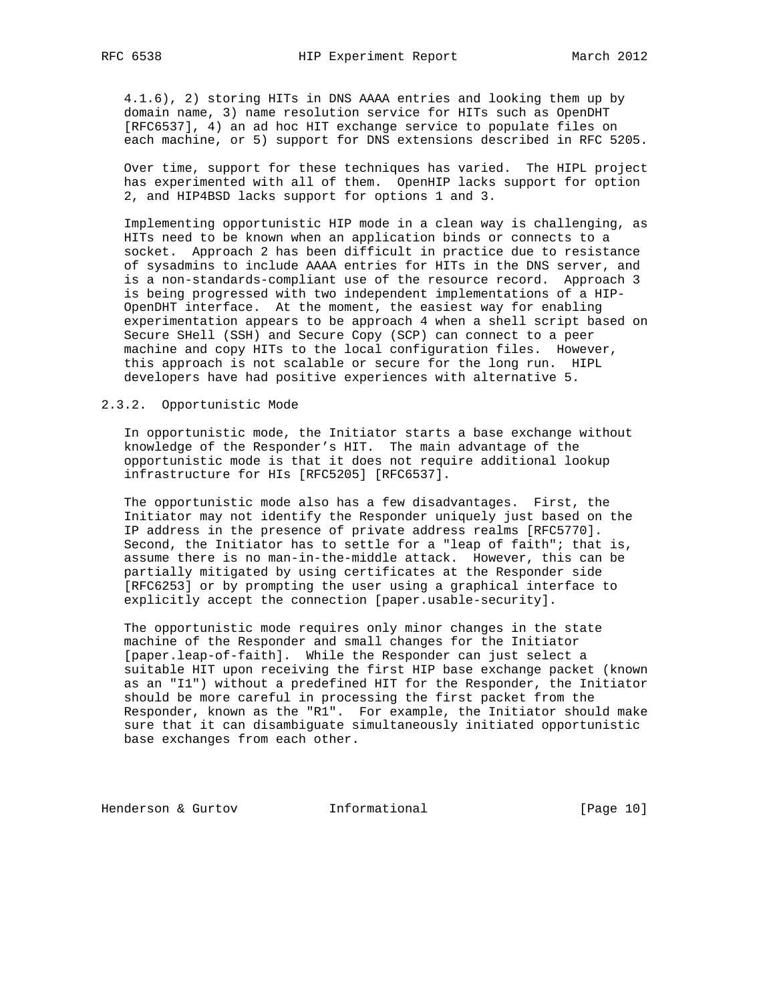4.1.6), 2) storing HITs in DNS AAAA entries and looking them up by domain name, 3) name resolution service for HITs such as OpenDHT [RFC6537], 4) an ad hoc HIT exchange service to populate files on each machine, or 5) support for DNS extensions described in RFC 5205.

 Over time, support for these techniques has varied. The HIPL project has experimented with all of them. OpenHIP lacks support for option 2, and HIP4BSD lacks support for options 1 and 3.

 Implementing opportunistic HIP mode in a clean way is challenging, as HITs need to be known when an application binds or connects to a socket. Approach 2 has been difficult in practice due to resistance of sysadmins to include AAAA entries for HITs in the DNS server, and is a non-standards-compliant use of the resource record. Approach 3 is being progressed with two independent implementations of a HIP- OpenDHT interface. At the moment, the easiest way for enabling experimentation appears to be approach 4 when a shell script based on Secure SHell (SSH) and Secure Copy (SCP) can connect to a peer machine and copy HITs to the local configuration files. However, this approach is not scalable or secure for the long run. HIPL developers have had positive experiences with alternative 5.

# 2.3.2. Opportunistic Mode

 In opportunistic mode, the Initiator starts a base exchange without knowledge of the Responder's HIT. The main advantage of the opportunistic mode is that it does not require additional lookup infrastructure for HIs [RFC5205] [RFC6537].

 The opportunistic mode also has a few disadvantages. First, the Initiator may not identify the Responder uniquely just based on the IP address in the presence of private address realms [RFC5770]. Second, the Initiator has to settle for a "leap of faith"; that is, assume there is no man-in-the-middle attack. However, this can be partially mitigated by using certificates at the Responder side [RFC6253] or by prompting the user using a graphical interface to explicitly accept the connection [paper.usable-security].

 The opportunistic mode requires only minor changes in the state machine of the Responder and small changes for the Initiator [paper.leap-of-faith]. While the Responder can just select a suitable HIT upon receiving the first HIP base exchange packet (known as an "I1") without a predefined HIT for the Responder, the Initiator should be more careful in processing the first packet from the Responder, known as the "R1". For example, the Initiator should make sure that it can disambiguate simultaneously initiated opportunistic base exchanges from each other.

Henderson & Gurtov **Informational** [Page 10]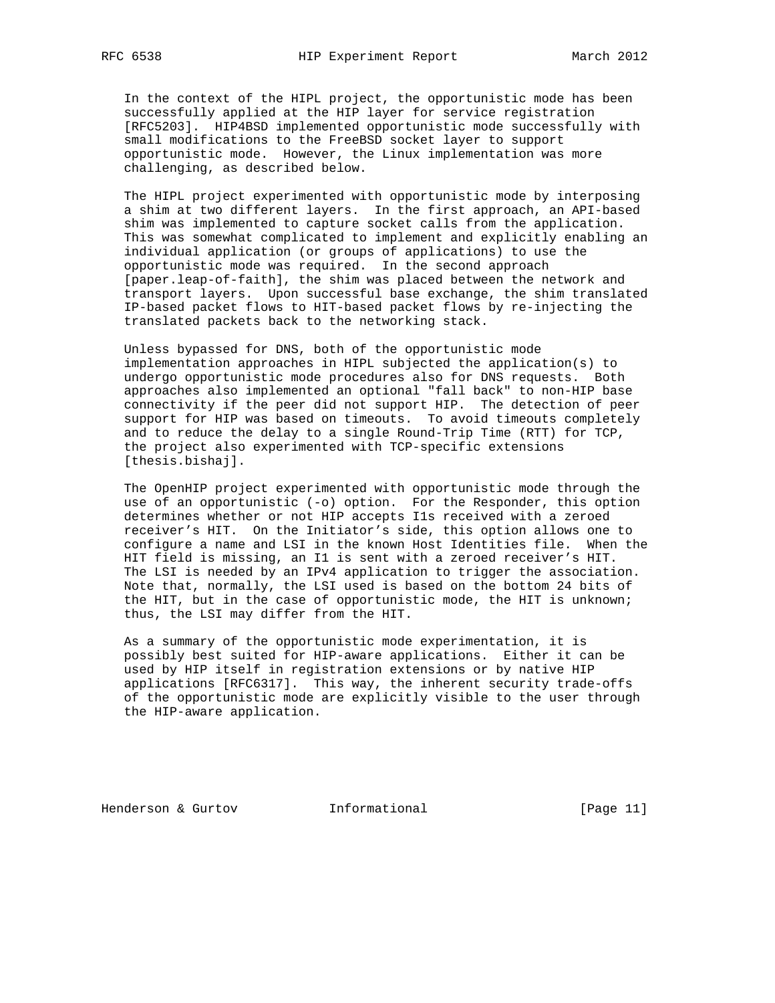In the context of the HIPL project, the opportunistic mode has been successfully applied at the HIP layer for service registration [RFC5203]. HIP4BSD implemented opportunistic mode successfully with small modifications to the FreeBSD socket layer to support opportunistic mode. However, the Linux implementation was more challenging, as described below.

 The HIPL project experimented with opportunistic mode by interposing a shim at two different layers. In the first approach, an API-based shim was implemented to capture socket calls from the application. This was somewhat complicated to implement and explicitly enabling an individual application (or groups of applications) to use the opportunistic mode was required. In the second approach [paper.leap-of-faith], the shim was placed between the network and transport layers. Upon successful base exchange, the shim translated IP-based packet flows to HIT-based packet flows by re-injecting the translated packets back to the networking stack.

 Unless bypassed for DNS, both of the opportunistic mode implementation approaches in HIPL subjected the application(s) to undergo opportunistic mode procedures also for DNS requests. Both approaches also implemented an optional "fall back" to non-HIP base connectivity if the peer did not support HIP. The detection of peer support for HIP was based on timeouts. To avoid timeouts completely and to reduce the delay to a single Round-Trip Time (RTT) for TCP, the project also experimented with TCP-specific extensions [thesis.bishaj].

 The OpenHIP project experimented with opportunistic mode through the use of an opportunistic (-o) option. For the Responder, this option determines whether or not HIP accepts I1s received with a zeroed receiver's HIT. On the Initiator's side, this option allows one to configure a name and LSI in the known Host Identities file. When the HIT field is missing, an I1 is sent with a zeroed receiver's HIT. The LSI is needed by an IPv4 application to trigger the association. Note that, normally, the LSI used is based on the bottom 24 bits of the HIT, but in the case of opportunistic mode, the HIT is unknown; thus, the LSI may differ from the HIT.

 As a summary of the opportunistic mode experimentation, it is possibly best suited for HIP-aware applications. Either it can be used by HIP itself in registration extensions or by native HIP applications [RFC6317]. This way, the inherent security trade-offs of the opportunistic mode are explicitly visible to the user through the HIP-aware application.

Henderson & Gurtov **Informational** [Page 11]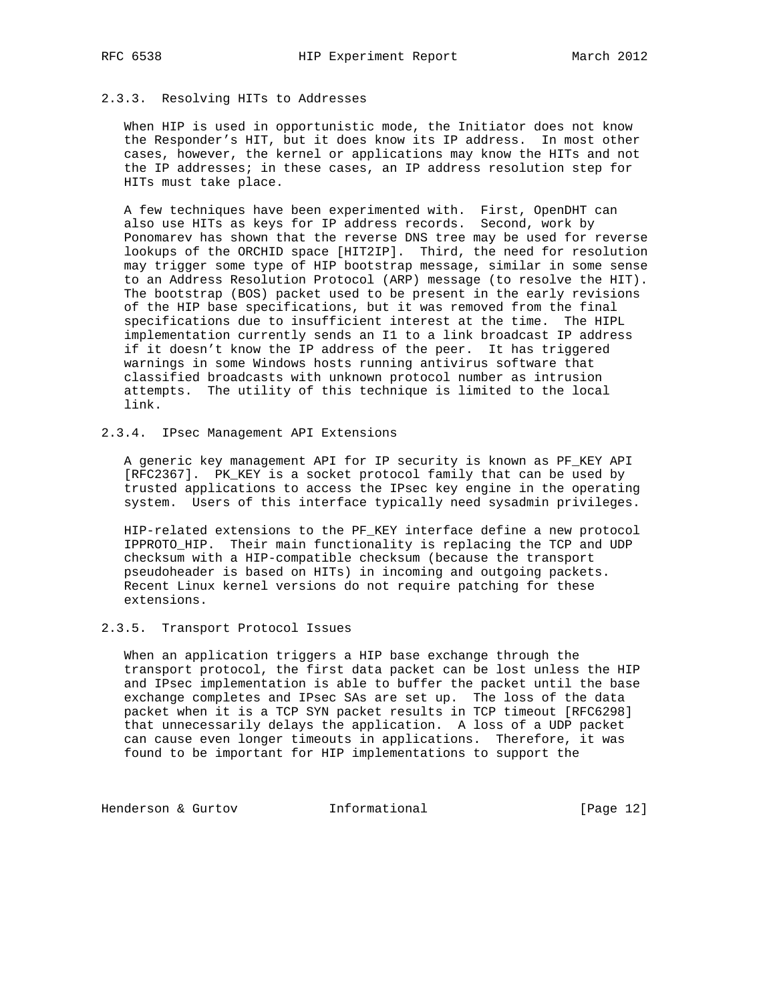# 2.3.3. Resolving HITs to Addresses

 When HIP is used in opportunistic mode, the Initiator does not know the Responder's HIT, but it does know its IP address. In most other cases, however, the kernel or applications may know the HITs and not the IP addresses; in these cases, an IP address resolution step for HITs must take place.

 A few techniques have been experimented with. First, OpenDHT can also use HITs as keys for IP address records. Second, work by Ponomarev has shown that the reverse DNS tree may be used for reverse lookups of the ORCHID space [HIT2IP]. Third, the need for resolution may trigger some type of HIP bootstrap message, similar in some sense to an Address Resolution Protocol (ARP) message (to resolve the HIT). The bootstrap (BOS) packet used to be present in the early revisions of the HIP base specifications, but it was removed from the final specifications due to insufficient interest at the time. The HIPL implementation currently sends an I1 to a link broadcast IP address if it doesn't know the IP address of the peer. It has triggered warnings in some Windows hosts running antivirus software that classified broadcasts with unknown protocol number as intrusion attempts. The utility of this technique is limited to the local link.

# 2.3.4. IPsec Management API Extensions

 A generic key management API for IP security is known as PF\_KEY API [RFC2367]. PK\_KEY is a socket protocol family that can be used by trusted applications to access the IPsec key engine in the operating system. Users of this interface typically need sysadmin privileges.

 HIP-related extensions to the PF\_KEY interface define a new protocol IPPROTO\_HIP. Their main functionality is replacing the TCP and UDP checksum with a HIP-compatible checksum (because the transport pseudoheader is based on HITs) in incoming and outgoing packets. Recent Linux kernel versions do not require patching for these extensions.

# 2.3.5. Transport Protocol Issues

 When an application triggers a HIP base exchange through the transport protocol, the first data packet can be lost unless the HIP and IPsec implementation is able to buffer the packet until the base exchange completes and IPsec SAs are set up. The loss of the data packet when it is a TCP SYN packet results in TCP timeout [RFC6298] that unnecessarily delays the application. A loss of a UDP packet can cause even longer timeouts in applications. Therefore, it was found to be important for HIP implementations to support the

Henderson & Gurtov **Informational** [Page 12]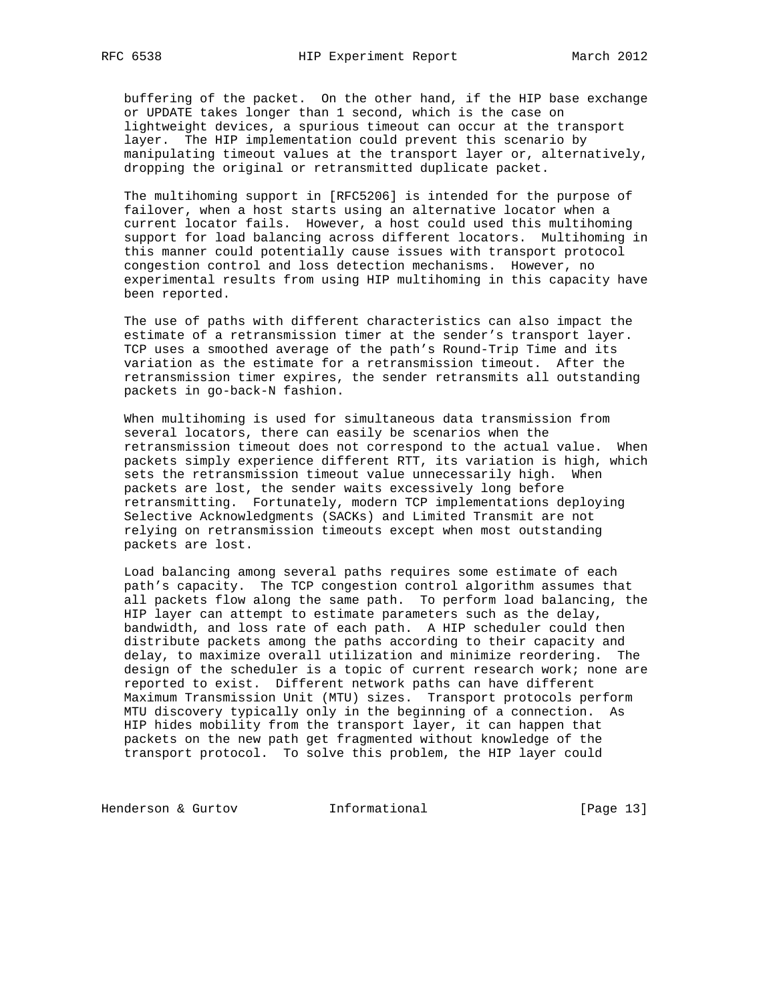buffering of the packet. On the other hand, if the HIP base exchange or UPDATE takes longer than 1 second, which is the case on lightweight devices, a spurious timeout can occur at the transport layer. The HIP implementation could prevent this scenario by manipulating timeout values at the transport layer or, alternatively, dropping the original or retransmitted duplicate packet.

 The multihoming support in [RFC5206] is intended for the purpose of failover, when a host starts using an alternative locator when a current locator fails. However, a host could used this multihoming support for load balancing across different locators. Multihoming in this manner could potentially cause issues with transport protocol congestion control and loss detection mechanisms. However, no experimental results from using HIP multihoming in this capacity have been reported.

 The use of paths with different characteristics can also impact the estimate of a retransmission timer at the sender's transport layer. TCP uses a smoothed average of the path's Round-Trip Time and its variation as the estimate for a retransmission timeout. After the retransmission timer expires, the sender retransmits all outstanding packets in go-back-N fashion.

 When multihoming is used for simultaneous data transmission from several locators, there can easily be scenarios when the retransmission timeout does not correspond to the actual value. When packets simply experience different RTT, its variation is high, which sets the retransmission timeout value unnecessarily high. When packets are lost, the sender waits excessively long before retransmitting. Fortunately, modern TCP implementations deploying Selective Acknowledgments (SACKs) and Limited Transmit are not relying on retransmission timeouts except when most outstanding packets are lost.

 Load balancing among several paths requires some estimate of each path's capacity. The TCP congestion control algorithm assumes that all packets flow along the same path. To perform load balancing, the HIP layer can attempt to estimate parameters such as the delay, bandwidth, and loss rate of each path. A HIP scheduler could then distribute packets among the paths according to their capacity and delay, to maximize overall utilization and minimize reordering. The design of the scheduler is a topic of current research work; none are reported to exist. Different network paths can have different Maximum Transmission Unit (MTU) sizes. Transport protocols perform MTU discovery typically only in the beginning of a connection. As HIP hides mobility from the transport layer, it can happen that packets on the new path get fragmented without knowledge of the transport protocol. To solve this problem, the HIP layer could

Henderson & Gurtov **Informational** [Page 13]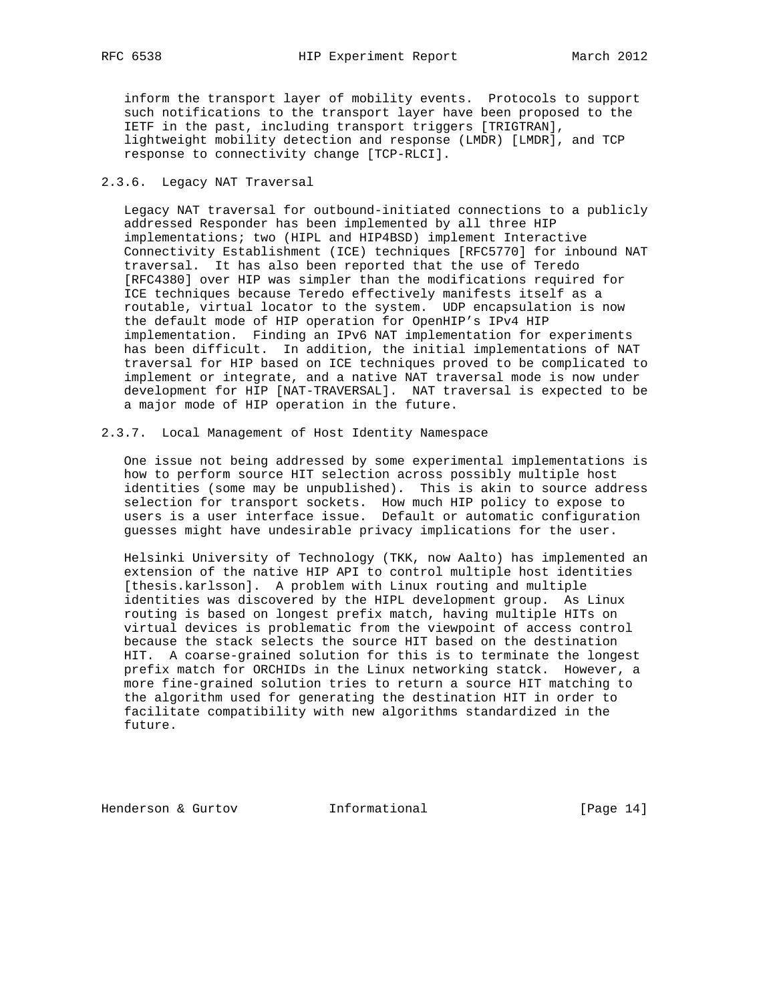inform the transport layer of mobility events. Protocols to support such notifications to the transport layer have been proposed to the IETF in the past, including transport triggers [TRIGTRAN], lightweight mobility detection and response (LMDR) [LMDR], and TCP response to connectivity change [TCP-RLCI].

# 2.3.6. Legacy NAT Traversal

 Legacy NAT traversal for outbound-initiated connections to a publicly addressed Responder has been implemented by all three HIP implementations; two (HIPL and HIP4BSD) implement Interactive Connectivity Establishment (ICE) techniques [RFC5770] for inbound NAT traversal. It has also been reported that the use of Teredo [RFC4380] over HIP was simpler than the modifications required for ICE techniques because Teredo effectively manifests itself as a routable, virtual locator to the system. UDP encapsulation is now the default mode of HIP operation for OpenHIP's IPv4 HIP implementation. Finding an IPv6 NAT implementation for experiments has been difficult. In addition, the initial implementations of NAT traversal for HIP based on ICE techniques proved to be complicated to implement or integrate, and a native NAT traversal mode is now under development for HIP [NAT-TRAVERSAL]. NAT traversal is expected to be a major mode of HIP operation in the future.

# 2.3.7. Local Management of Host Identity Namespace

 One issue not being addressed by some experimental implementations is how to perform source HIT selection across possibly multiple host identities (some may be unpublished). This is akin to source address selection for transport sockets. How much HIP policy to expose to users is a user interface issue. Default or automatic configuration guesses might have undesirable privacy implications for the user.

 Helsinki University of Technology (TKK, now Aalto) has implemented an extension of the native HIP API to control multiple host identities [thesis.karlsson]. A problem with Linux routing and multiple identities was discovered by the HIPL development group. As Linux routing is based on longest prefix match, having multiple HITs on virtual devices is problematic from the viewpoint of access control because the stack selects the source HIT based on the destination HIT. A coarse-grained solution for this is to terminate the longest prefix match for ORCHIDs in the Linux networking statck. However, a more fine-grained solution tries to return a source HIT matching to the algorithm used for generating the destination HIT in order to facilitate compatibility with new algorithms standardized in the future.

Henderson & Gurtov **Informational** [Page 14]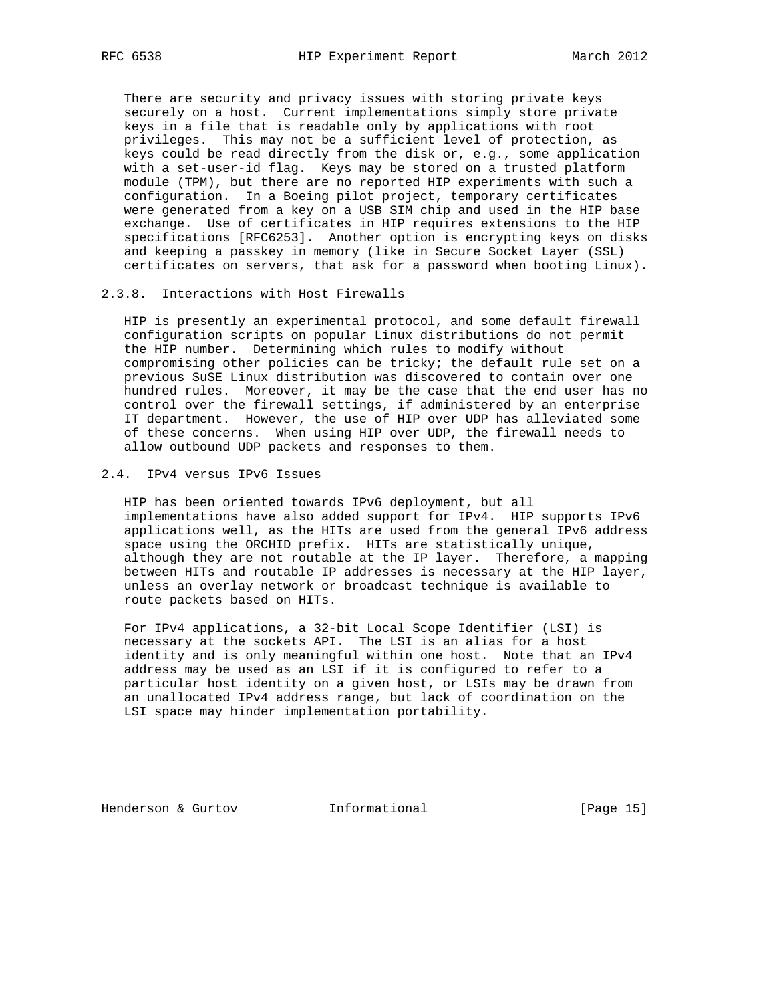There are security and privacy issues with storing private keys securely on a host. Current implementations simply store private keys in a file that is readable only by applications with root privileges. This may not be a sufficient level of protection, as keys could be read directly from the disk or, e.g., some application with a set-user-id flag. Keys may be stored on a trusted platform module (TPM), but there are no reported HIP experiments with such a configuration. In a Boeing pilot project, temporary certificates were generated from a key on a USB SIM chip and used in the HIP base exchange. Use of certificates in HIP requires extensions to the HIP specifications [RFC6253]. Another option is encrypting keys on disks and keeping a passkey in memory (like in Secure Socket Layer (SSL) certificates on servers, that ask for a password when booting Linux).

# 2.3.8. Interactions with Host Firewalls

 HIP is presently an experimental protocol, and some default firewall configuration scripts on popular Linux distributions do not permit the HIP number. Determining which rules to modify without compromising other policies can be tricky; the default rule set on a previous SuSE Linux distribution was discovered to contain over one hundred rules. Moreover, it may be the case that the end user has no control over the firewall settings, if administered by an enterprise IT department. However, the use of HIP over UDP has alleviated some of these concerns. When using HIP over UDP, the firewall needs to allow outbound UDP packets and responses to them.

## 2.4. IPv4 versus IPv6 Issues

 HIP has been oriented towards IPv6 deployment, but all implementations have also added support for IPv4. HIP supports IPv6 applications well, as the HITs are used from the general IPv6 address space using the ORCHID prefix. HITs are statistically unique, although they are not routable at the IP layer. Therefore, a mapping between HITs and routable IP addresses is necessary at the HIP layer, unless an overlay network or broadcast technique is available to route packets based on HITs.

 For IPv4 applications, a 32-bit Local Scope Identifier (LSI) is necessary at the sockets API. The LSI is an alias for a host identity and is only meaningful within one host. Note that an IPv4 address may be used as an LSI if it is configured to refer to a particular host identity on a given host, or LSIs may be drawn from an unallocated IPv4 address range, but lack of coordination on the LSI space may hinder implementation portability.

Henderson & Gurtov **Informational** [Page 15]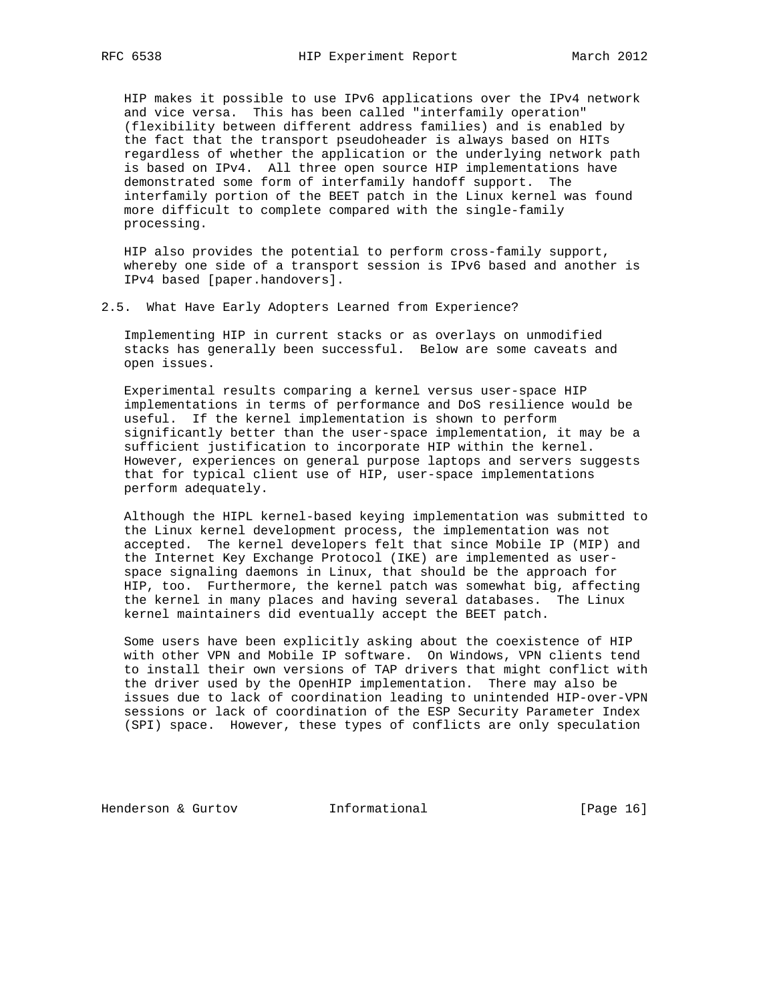HIP makes it possible to use IPv6 applications over the IPv4 network and vice versa. This has been called "interfamily operation" (flexibility between different address families) and is enabled by the fact that the transport pseudoheader is always based on HITs regardless of whether the application or the underlying network path is based on IPv4. All three open source HIP implementations have demonstrated some form of interfamily handoff support. The interfamily portion of the BEET patch in the Linux kernel was found more difficult to complete compared with the single-family processing.

 HIP also provides the potential to perform cross-family support, whereby one side of a transport session is IPv6 based and another is IPv4 based [paper.handovers].

2.5. What Have Early Adopters Learned from Experience?

 Implementing HIP in current stacks or as overlays on unmodified stacks has generally been successful. Below are some caveats and open issues.

 Experimental results comparing a kernel versus user-space HIP implementations in terms of performance and DoS resilience would be useful. If the kernel implementation is shown to perform significantly better than the user-space implementation, it may be a sufficient justification to incorporate HIP within the kernel. However, experiences on general purpose laptops and servers suggests that for typical client use of HIP, user-space implementations perform adequately.

 Although the HIPL kernel-based keying implementation was submitted to the Linux kernel development process, the implementation was not accepted. The kernel developers felt that since Mobile IP (MIP) and the Internet Key Exchange Protocol (IKE) are implemented as user space signaling daemons in Linux, that should be the approach for HIP, too. Furthermore, the kernel patch was somewhat big, affecting the kernel in many places and having several databases. The Linux kernel maintainers did eventually accept the BEET patch.

 Some users have been explicitly asking about the coexistence of HIP with other VPN and Mobile IP software. On Windows, VPN clients tend to install their own versions of TAP drivers that might conflict with the driver used by the OpenHIP implementation. There may also be issues due to lack of coordination leading to unintended HIP-over-VPN sessions or lack of coordination of the ESP Security Parameter Index (SPI) space. However, these types of conflicts are only speculation

Henderson & Gurtov **Informational** [Page 16]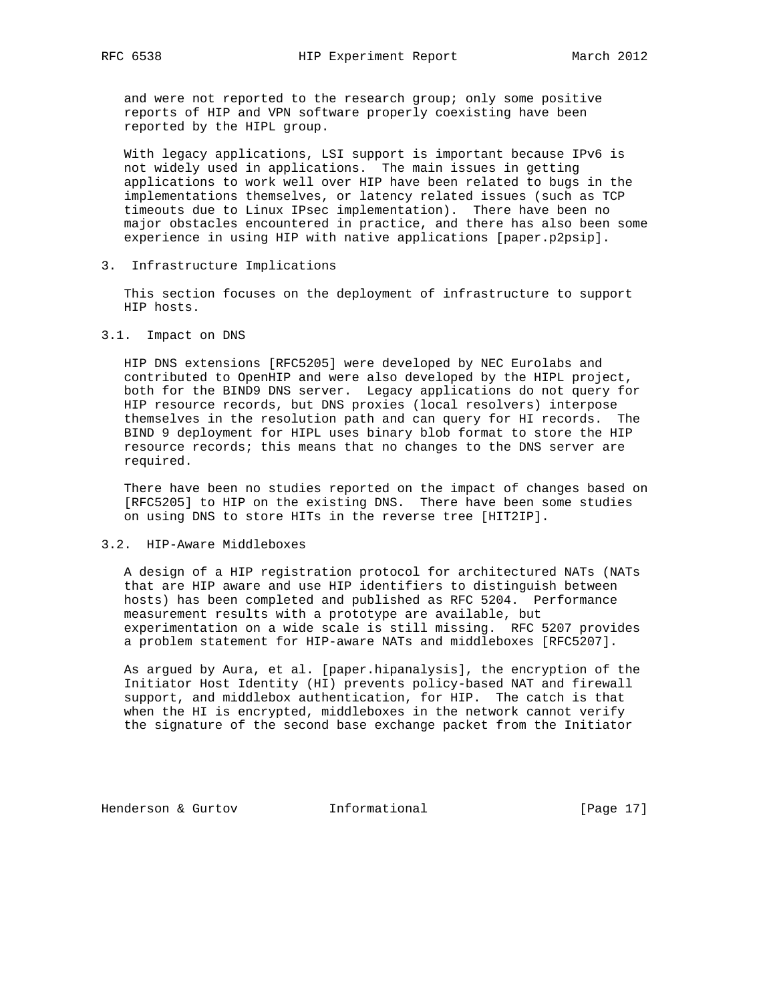and were not reported to the research group; only some positive reports of HIP and VPN software properly coexisting have been reported by the HIPL group.

 With legacy applications, LSI support is important because IPv6 is not widely used in applications. The main issues in getting applications to work well over HIP have been related to bugs in the implementations themselves, or latency related issues (such as TCP timeouts due to Linux IPsec implementation). There have been no major obstacles encountered in practice, and there has also been some experience in using HIP with native applications [paper.p2psip].

# 3. Infrastructure Implications

 This section focuses on the deployment of infrastructure to support HIP hosts.

## 3.1. Impact on DNS

 HIP DNS extensions [RFC5205] were developed by NEC Eurolabs and contributed to OpenHIP and were also developed by the HIPL project, both for the BIND9 DNS server. Legacy applications do not query for HIP resource records, but DNS proxies (local resolvers) interpose themselves in the resolution path and can query for HI records. The BIND 9 deployment for HIPL uses binary blob format to store the HIP resource records; this means that no changes to the DNS server are required.

 There have been no studies reported on the impact of changes based on [RFC5205] to HIP on the existing DNS. There have been some studies on using DNS to store HITs in the reverse tree [HIT2IP].

# 3.2. HIP-Aware Middleboxes

 A design of a HIP registration protocol for architectured NATs (NATs that are HIP aware and use HIP identifiers to distinguish between hosts) has been completed and published as RFC 5204. Performance measurement results with a prototype are available, but experimentation on a wide scale is still missing. RFC 5207 provides a problem statement for HIP-aware NATs and middleboxes [RFC5207].

 As argued by Aura, et al. [paper.hipanalysis], the encryption of the Initiator Host Identity (HI) prevents policy-based NAT and firewall support, and middlebox authentication, for HIP. The catch is that when the HI is encrypted, middleboxes in the network cannot verify the signature of the second base exchange packet from the Initiator

Henderson & Gurtov **Informational** [Page 17]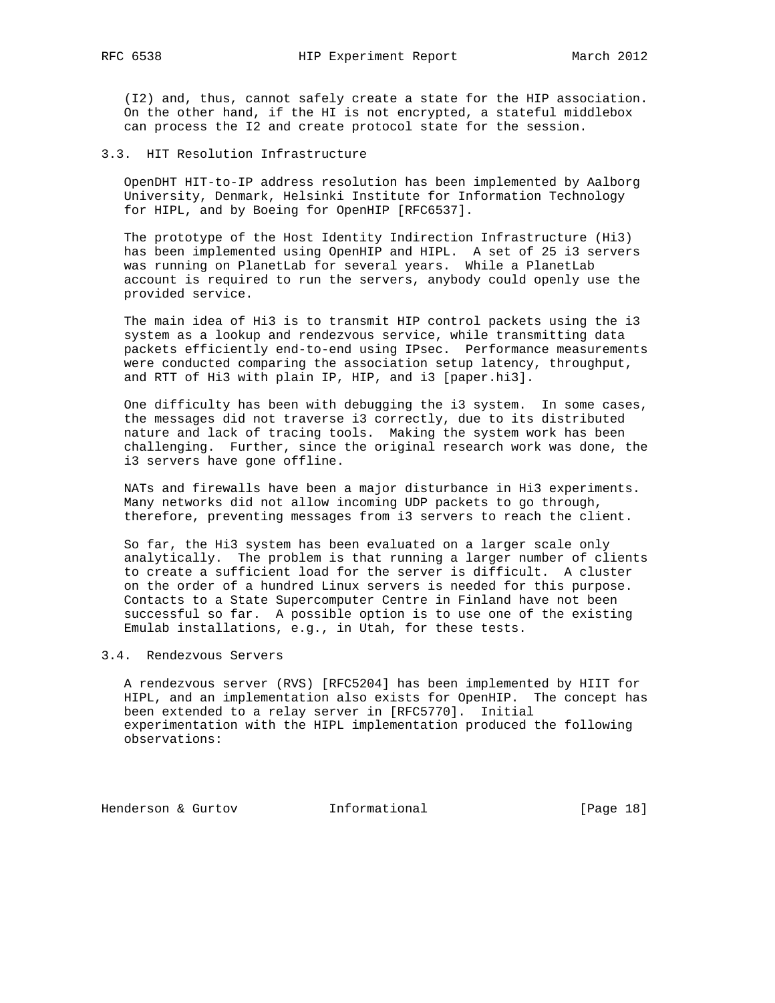(I2) and, thus, cannot safely create a state for the HIP association. On the other hand, if the HI is not encrypted, a stateful middlebox can process the I2 and create protocol state for the session.

# 3.3. HIT Resolution Infrastructure

 OpenDHT HIT-to-IP address resolution has been implemented by Aalborg University, Denmark, Helsinki Institute for Information Technology for HIPL, and by Boeing for OpenHIP [RFC6537].

 The prototype of the Host Identity Indirection Infrastructure (Hi3) has been implemented using OpenHIP and HIPL. A set of 25 i3 servers was running on PlanetLab for several years. While a PlanetLab account is required to run the servers, anybody could openly use the provided service.

 The main idea of Hi3 is to transmit HIP control packets using the i3 system as a lookup and rendezvous service, while transmitting data packets efficiently end-to-end using IPsec. Performance measurements were conducted comparing the association setup latency, throughput, and RTT of Hi3 with plain IP, HIP, and i3 [paper.hi3].

 One difficulty has been with debugging the i3 system. In some cases, the messages did not traverse i3 correctly, due to its distributed nature and lack of tracing tools. Making the system work has been challenging. Further, since the original research work was done, the i3 servers have gone offline.

 NATs and firewalls have been a major disturbance in Hi3 experiments. Many networks did not allow incoming UDP packets to go through, therefore, preventing messages from i3 servers to reach the client.

 So far, the Hi3 system has been evaluated on a larger scale only analytically. The problem is that running a larger number of clients to create a sufficient load for the server is difficult. A cluster on the order of a hundred Linux servers is needed for this purpose. Contacts to a State Supercomputer Centre in Finland have not been successful so far. A possible option is to use one of the existing Emulab installations, e.g., in Utah, for these tests.

# 3.4. Rendezvous Servers

 A rendezvous server (RVS) [RFC5204] has been implemented by HIIT for HIPL, and an implementation also exists for OpenHIP. The concept has been extended to a relay server in [RFC5770]. Initial experimentation with the HIPL implementation produced the following observations:

Henderson & Gurtov **Informational** [Page 18]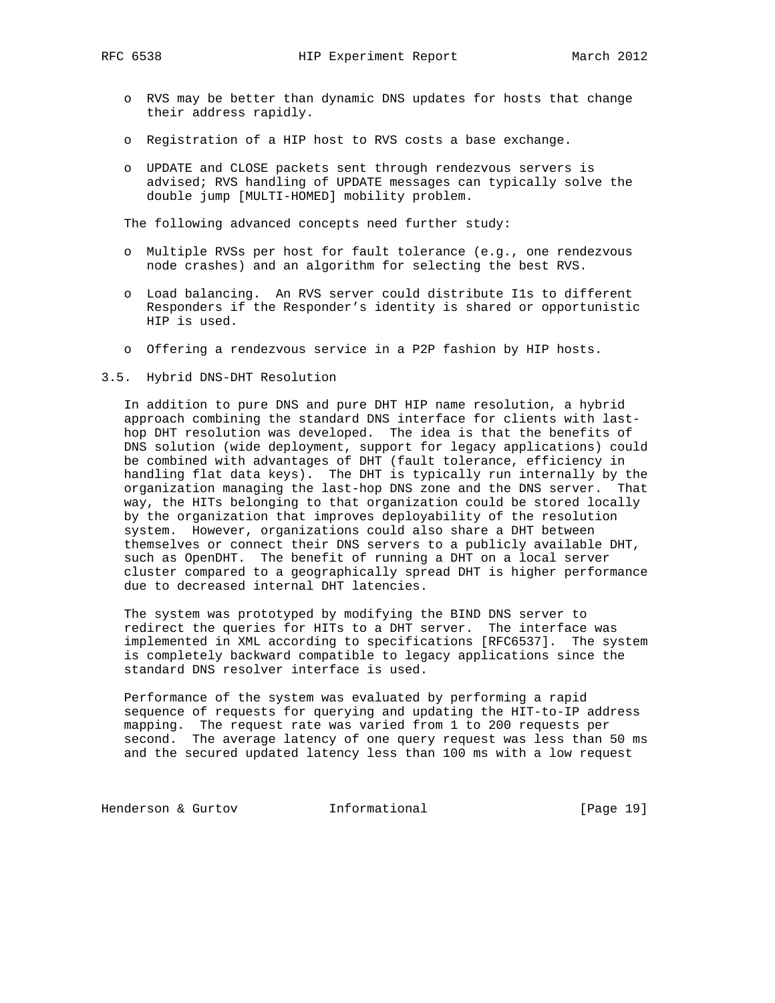- o RVS may be better than dynamic DNS updates for hosts that change their address rapidly.
- o Registration of a HIP host to RVS costs a base exchange.
- o UPDATE and CLOSE packets sent through rendezvous servers is advised; RVS handling of UPDATE messages can typically solve the double jump [MULTI-HOMED] mobility problem.

The following advanced concepts need further study:

- o Multiple RVSs per host for fault tolerance (e.g., one rendezvous node crashes) and an algorithm for selecting the best RVS.
- o Load balancing. An RVS server could distribute I1s to different Responders if the Responder's identity is shared or opportunistic HIP is used.
- o Offering a rendezvous service in a P2P fashion by HIP hosts.
- 3.5. Hybrid DNS-DHT Resolution

 In addition to pure DNS and pure DHT HIP name resolution, a hybrid approach combining the standard DNS interface for clients with last hop DHT resolution was developed. The idea is that the benefits of DNS solution (wide deployment, support for legacy applications) could be combined with advantages of DHT (fault tolerance, efficiency in handling flat data keys). The DHT is typically run internally by the organization managing the last-hop DNS zone and the DNS server. That way, the HITs belonging to that organization could be stored locally by the organization that improves deployability of the resolution system. However, organizations could also share a DHT between themselves or connect their DNS servers to a publicly available DHT, such as OpenDHT. The benefit of running a DHT on a local server cluster compared to a geographically spread DHT is higher performance due to decreased internal DHT latencies.

 The system was prototyped by modifying the BIND DNS server to redirect the queries for HITs to a DHT server. The interface was implemented in XML according to specifications [RFC6537]. The system is completely backward compatible to legacy applications since the standard DNS resolver interface is used.

 Performance of the system was evaluated by performing a rapid sequence of requests for querying and updating the HIT-to-IP address mapping. The request rate was varied from 1 to 200 requests per second. The average latency of one query request was less than 50 ms and the secured updated latency less than 100 ms with a low request

Henderson & Gurtov **Informational** [Page 19]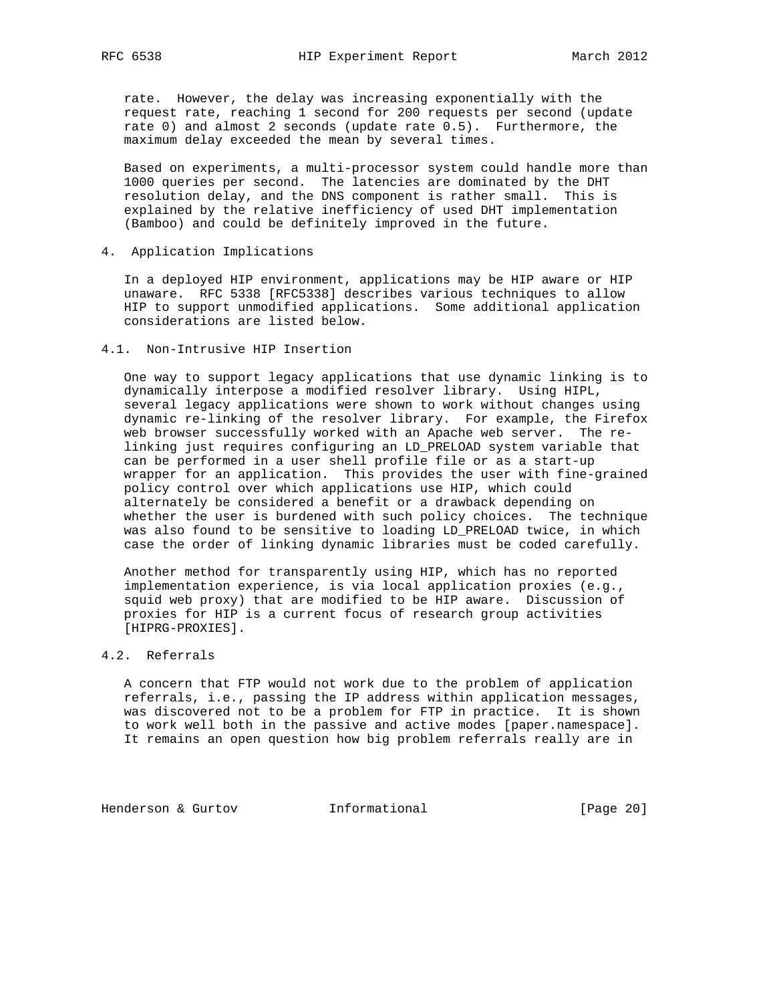rate. However, the delay was increasing exponentially with the request rate, reaching 1 second for 200 requests per second (update rate 0) and almost 2 seconds (update rate 0.5). Furthermore, the maximum delay exceeded the mean by several times.

 Based on experiments, a multi-processor system could handle more than 1000 queries per second. The latencies are dominated by the DHT resolution delay, and the DNS component is rather small. This is explained by the relative inefficiency of used DHT implementation (Bamboo) and could be definitely improved in the future.

## 4. Application Implications

 In a deployed HIP environment, applications may be HIP aware or HIP unaware. RFC 5338 [RFC5338] describes various techniques to allow HIP to support unmodified applications. Some additional application considerations are listed below.

# 4.1. Non-Intrusive HIP Insertion

 One way to support legacy applications that use dynamic linking is to dynamically interpose a modified resolver library. Using HIPL, several legacy applications were shown to work without changes using dynamic re-linking of the resolver library. For example, the Firefox web browser successfully worked with an Apache web server. The re linking just requires configuring an LD\_PRELOAD system variable that can be performed in a user shell profile file or as a start-up wrapper for an application. This provides the user with fine-grained policy control over which applications use HIP, which could alternately be considered a benefit or a drawback depending on whether the user is burdened with such policy choices. The technique was also found to be sensitive to loading LD\_PRELOAD twice, in which case the order of linking dynamic libraries must be coded carefully.

 Another method for transparently using HIP, which has no reported implementation experience, is via local application proxies (e.g., squid web proxy) that are modified to be HIP aware. Discussion of proxies for HIP is a current focus of research group activities [HIPRG-PROXIES].

# 4.2. Referrals

 A concern that FTP would not work due to the problem of application referrals, i.e., passing the IP address within application messages, was discovered not to be a problem for FTP in practice. It is shown to work well both in the passive and active modes [paper.namespace]. It remains an open question how big problem referrals really are in

Henderson & Gurtov **Informational** [Page 20]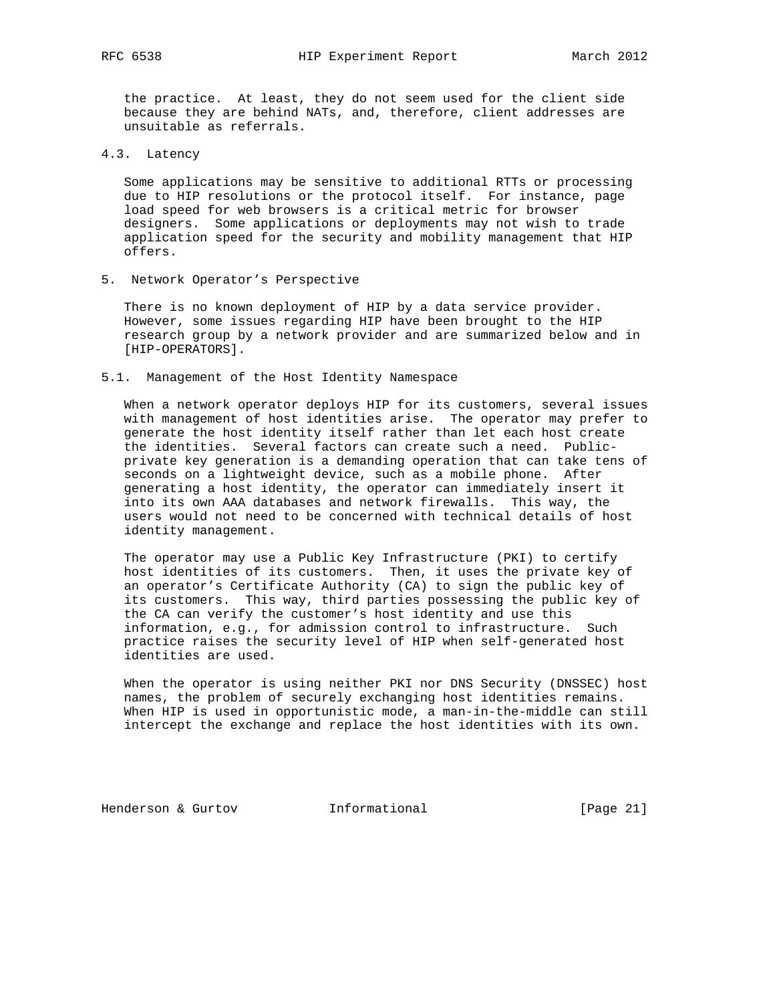the practice. At least, they do not seem used for the client side because they are behind NATs, and, therefore, client addresses are unsuitable as referrals.

4.3. Latency

 Some applications may be sensitive to additional RTTs or processing due to HIP resolutions or the protocol itself. For instance, page load speed for web browsers is a critical metric for browser designers. Some applications or deployments may not wish to trade application speed for the security and mobility management that HIP offers.

5. Network Operator's Perspective

 There is no known deployment of HIP by a data service provider. However, some issues regarding HIP have been brought to the HIP research group by a network provider and are summarized below and in [HIP-OPERATORS].

5.1. Management of the Host Identity Namespace

 When a network operator deploys HIP for its customers, several issues with management of host identities arise. The operator may prefer to generate the host identity itself rather than let each host create the identities. Several factors can create such a need. Public private key generation is a demanding operation that can take tens of seconds on a lightweight device, such as a mobile phone. After generating a host identity, the operator can immediately insert it into its own AAA databases and network firewalls. This way, the users would not need to be concerned with technical details of host identity management.

 The operator may use a Public Key Infrastructure (PKI) to certify host identities of its customers. Then, it uses the private key of an operator's Certificate Authority (CA) to sign the public key of its customers. This way, third parties possessing the public key of the CA can verify the customer's host identity and use this information, e.g., for admission control to infrastructure. Such practice raises the security level of HIP when self-generated host identities are used.

 When the operator is using neither PKI nor DNS Security (DNSSEC) host names, the problem of securely exchanging host identities remains. When HIP is used in opportunistic mode, a man-in-the-middle can still intercept the exchange and replace the host identities with its own.

Henderson & Gurtov **Informational** [Page 21]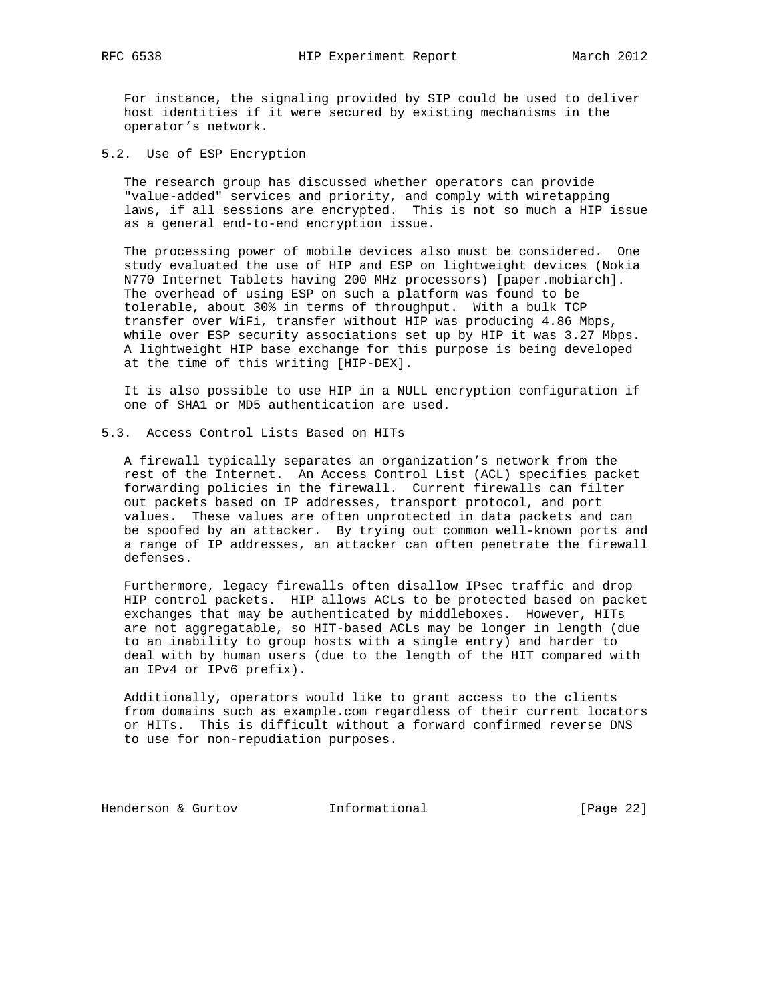For instance, the signaling provided by SIP could be used to deliver host identities if it were secured by existing mechanisms in the operator's network.

5.2. Use of ESP Encryption

 The research group has discussed whether operators can provide "value-added" services and priority, and comply with wiretapping laws, if all sessions are encrypted. This is not so much a HIP issue as a general end-to-end encryption issue.

 The processing power of mobile devices also must be considered. One study evaluated the use of HIP and ESP on lightweight devices (Nokia N770 Internet Tablets having 200 MHz processors) [paper.mobiarch]. The overhead of using ESP on such a platform was found to be tolerable, about 30% in terms of throughput. With a bulk TCP transfer over WiFi, transfer without HIP was producing 4.86 Mbps, while over ESP security associations set up by HIP it was 3.27 Mbps. A lightweight HIP base exchange for this purpose is being developed at the time of this writing [HIP-DEX].

 It is also possible to use HIP in a NULL encryption configuration if one of SHA1 or MD5 authentication are used.

5.3. Access Control Lists Based on HITs

 A firewall typically separates an organization's network from the rest of the Internet. An Access Control List (ACL) specifies packet forwarding policies in the firewall. Current firewalls can filter out packets based on IP addresses, transport protocol, and port values. These values are often unprotected in data packets and can be spoofed by an attacker. By trying out common well-known ports and a range of IP addresses, an attacker can often penetrate the firewall defenses.

 Furthermore, legacy firewalls often disallow IPsec traffic and drop HIP control packets. HIP allows ACLs to be protected based on packet exchanges that may be authenticated by middleboxes. However, HITs are not aggregatable, so HIT-based ACLs may be longer in length (due to an inability to group hosts with a single entry) and harder to deal with by human users (due to the length of the HIT compared with an IPv4 or IPv6 prefix).

 Additionally, operators would like to grant access to the clients from domains such as example.com regardless of their current locators or HITs. This is difficult without a forward confirmed reverse DNS to use for non-repudiation purposes.

Henderson & Gurtov **Informational** [Page 22]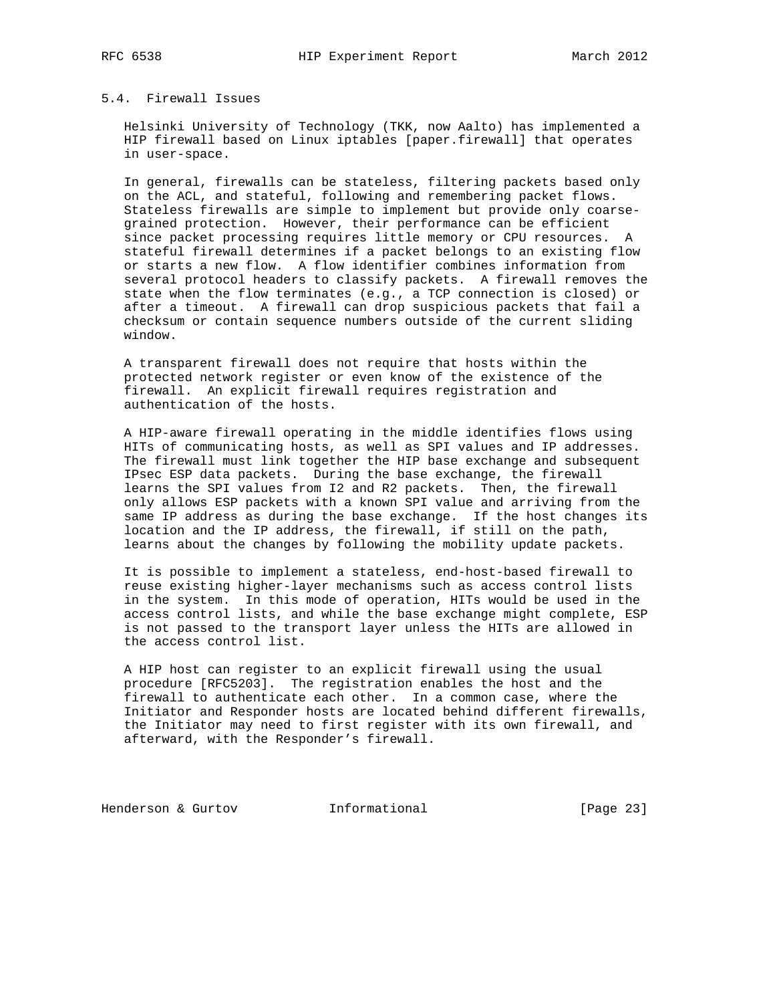# 5.4. Firewall Issues

 Helsinki University of Technology (TKK, now Aalto) has implemented a HIP firewall based on Linux iptables [paper.firewall] that operates in user-space.

 In general, firewalls can be stateless, filtering packets based only on the ACL, and stateful, following and remembering packet flows. Stateless firewalls are simple to implement but provide only coarse grained protection. However, their performance can be efficient since packet processing requires little memory or CPU resources. A stateful firewall determines if a packet belongs to an existing flow or starts a new flow. A flow identifier combines information from several protocol headers to classify packets. A firewall removes the state when the flow terminates (e.g., a TCP connection is closed) or after a timeout. A firewall can drop suspicious packets that fail a checksum or contain sequence numbers outside of the current sliding window.

 A transparent firewall does not require that hosts within the protected network register or even know of the existence of the firewall. An explicit firewall requires registration and authentication of the hosts.

 A HIP-aware firewall operating in the middle identifies flows using HITs of communicating hosts, as well as SPI values and IP addresses. The firewall must link together the HIP base exchange and subsequent IPsec ESP data packets. During the base exchange, the firewall learns the SPI values from I2 and R2 packets. Then, the firewall only allows ESP packets with a known SPI value and arriving from the same IP address as during the base exchange. If the host changes its location and the IP address, the firewall, if still on the path, learns about the changes by following the mobility update packets.

 It is possible to implement a stateless, end-host-based firewall to reuse existing higher-layer mechanisms such as access control lists in the system. In this mode of operation, HITs would be used in the access control lists, and while the base exchange might complete, ESP is not passed to the transport layer unless the HITs are allowed in the access control list.

 A HIP host can register to an explicit firewall using the usual procedure [RFC5203]. The registration enables the host and the firewall to authenticate each other. In a common case, where the Initiator and Responder hosts are located behind different firewalls, the Initiator may need to first register with its own firewall, and afterward, with the Responder's firewall.

Henderson & Gurtov **Informational** [Page 23]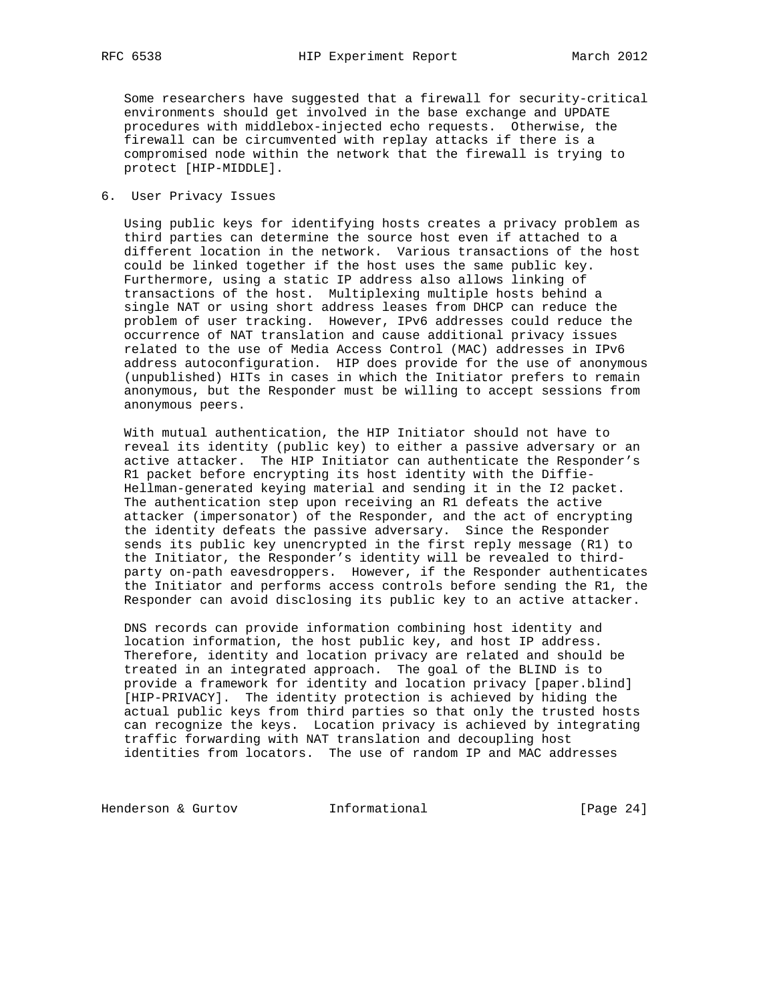Some researchers have suggested that a firewall for security-critical environments should get involved in the base exchange and UPDATE procedures with middlebox-injected echo requests. Otherwise, the firewall can be circumvented with replay attacks if there is a compromised node within the network that the firewall is trying to protect [HIP-MIDDLE].

6. User Privacy Issues

 Using public keys for identifying hosts creates a privacy problem as third parties can determine the source host even if attached to a different location in the network. Various transactions of the host could be linked together if the host uses the same public key. Furthermore, using a static IP address also allows linking of transactions of the host. Multiplexing multiple hosts behind a single NAT or using short address leases from DHCP can reduce the problem of user tracking. However, IPv6 addresses could reduce the occurrence of NAT translation and cause additional privacy issues related to the use of Media Access Control (MAC) addresses in IPv6 address autoconfiguration. HIP does provide for the use of anonymous (unpublished) HITs in cases in which the Initiator prefers to remain anonymous, but the Responder must be willing to accept sessions from anonymous peers.

 With mutual authentication, the HIP Initiator should not have to reveal its identity (public key) to either a passive adversary or an active attacker. The HIP Initiator can authenticate the Responder's R1 packet before encrypting its host identity with the Diffie- Hellman-generated keying material and sending it in the I2 packet. The authentication step upon receiving an R1 defeats the active attacker (impersonator) of the Responder, and the act of encrypting the identity defeats the passive adversary. Since the Responder sends its public key unencrypted in the first reply message (R1) to the Initiator, the Responder's identity will be revealed to third party on-path eavesdroppers. However, if the Responder authenticates the Initiator and performs access controls before sending the R1, the Responder can avoid disclosing its public key to an active attacker.

 DNS records can provide information combining host identity and location information, the host public key, and host IP address. Therefore, identity and location privacy are related and should be treated in an integrated approach. The goal of the BLIND is to provide a framework for identity and location privacy [paper.blind] [HIP-PRIVACY]. The identity protection is achieved by hiding the actual public keys from third parties so that only the trusted hosts can recognize the keys. Location privacy is achieved by integrating traffic forwarding with NAT translation and decoupling host identities from locators. The use of random IP and MAC addresses

Henderson & Gurtov **Informational** [Page 24]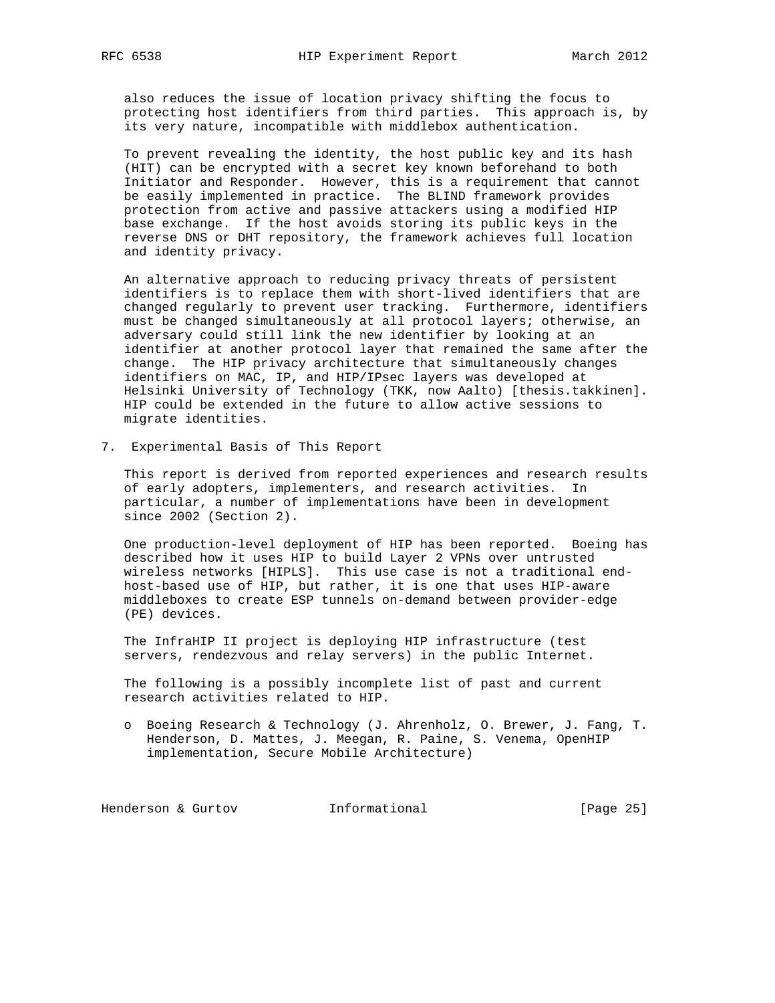also reduces the issue of location privacy shifting the focus to protecting host identifiers from third parties. This approach is, by its very nature, incompatible with middlebox authentication.

 To prevent revealing the identity, the host public key and its hash (HIT) can be encrypted with a secret key known beforehand to both Initiator and Responder. However, this is a requirement that cannot be easily implemented in practice. The BLIND framework provides protection from active and passive attackers using a modified HIP base exchange. If the host avoids storing its public keys in the reverse DNS or DHT repository, the framework achieves full location and identity privacy.

 An alternative approach to reducing privacy threats of persistent identifiers is to replace them with short-lived identifiers that are changed regularly to prevent user tracking. Furthermore, identifiers must be changed simultaneously at all protocol layers; otherwise, an adversary could still link the new identifier by looking at an identifier at another protocol layer that remained the same after the change. The HIP privacy architecture that simultaneously changes identifiers on MAC, IP, and HIP/IPsec layers was developed at Helsinki University of Technology (TKK, now Aalto) [thesis.takkinen]. HIP could be extended in the future to allow active sessions to migrate identities.

7. Experimental Basis of This Report

 This report is derived from reported experiences and research results of early adopters, implementers, and research activities. In particular, a number of implementations have been in development since 2002 (Section 2).

 One production-level deployment of HIP has been reported. Boeing has described how it uses HIP to build Layer 2 VPNs over untrusted wireless networks [HIPLS]. This use case is not a traditional end host-based use of HIP, but rather, it is one that uses HIP-aware middleboxes to create ESP tunnels on-demand between provider-edge (PE) devices.

 The InfraHIP II project is deploying HIP infrastructure (test servers, rendezvous and relay servers) in the public Internet.

 The following is a possibly incomplete list of past and current research activities related to HIP.

 o Boeing Research & Technology (J. Ahrenholz, O. Brewer, J. Fang, T. Henderson, D. Mattes, J. Meegan, R. Paine, S. Venema, OpenHIP implementation, Secure Mobile Architecture)

Henderson & Gurtov **Informational** [Page 25]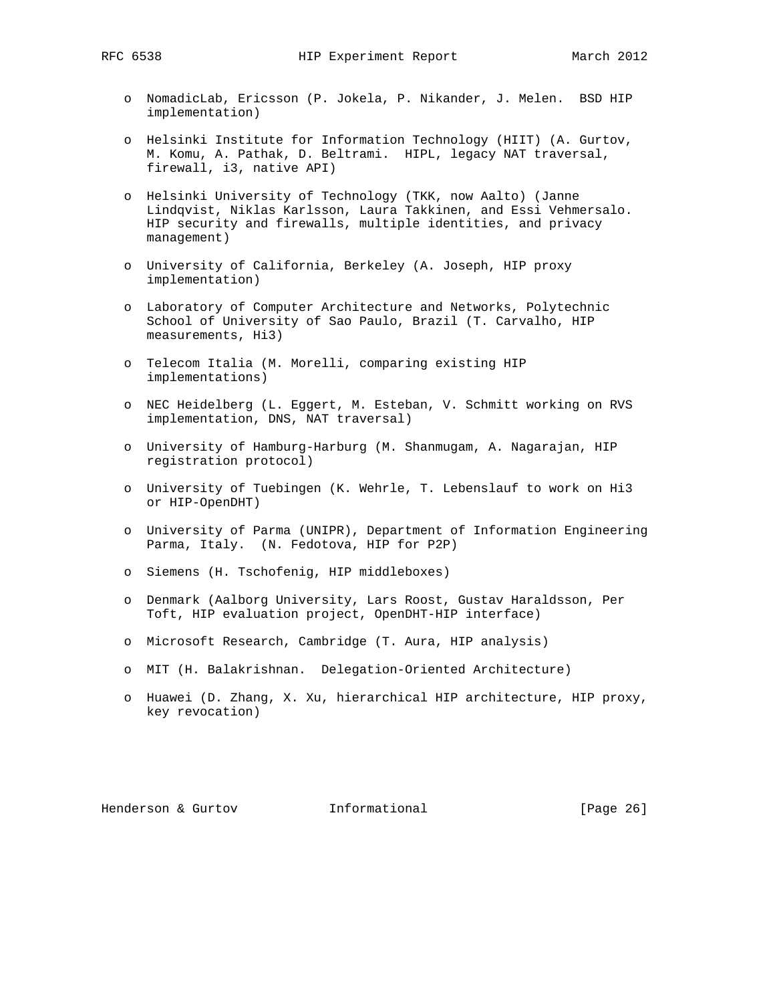- o NomadicLab, Ericsson (P. Jokela, P. Nikander, J. Melen. BSD HIP implementation)
- o Helsinki Institute for Information Technology (HIIT) (A. Gurtov, M. Komu, A. Pathak, D. Beltrami. HIPL, legacy NAT traversal, firewall, i3, native API)
- o Helsinki University of Technology (TKK, now Aalto) (Janne Lindqvist, Niklas Karlsson, Laura Takkinen, and Essi Vehmersalo. HIP security and firewalls, multiple identities, and privacy management)
- o University of California, Berkeley (A. Joseph, HIP proxy implementation)
- o Laboratory of Computer Architecture and Networks, Polytechnic School of University of Sao Paulo, Brazil (T. Carvalho, HIP measurements, Hi3)
- o Telecom Italia (M. Morelli, comparing existing HIP implementations)
- o NEC Heidelberg (L. Eggert, M. Esteban, V. Schmitt working on RVS implementation, DNS, NAT traversal)
- o University of Hamburg-Harburg (M. Shanmugam, A. Nagarajan, HIP registration protocol)
- o University of Tuebingen (K. Wehrle, T. Lebenslauf to work on Hi3 or HIP-OpenDHT)
- o University of Parma (UNIPR), Department of Information Engineering Parma, Italy. (N. Fedotova, HIP for P2P)
- o Siemens (H. Tschofenig, HIP middleboxes)
- o Denmark (Aalborg University, Lars Roost, Gustav Haraldsson, Per Toft, HIP evaluation project, OpenDHT-HIP interface)
- o Microsoft Research, Cambridge (T. Aura, HIP analysis)
- o MIT (H. Balakrishnan. Delegation-Oriented Architecture)
- o Huawei (D. Zhang, X. Xu, hierarchical HIP architecture, HIP proxy, key revocation)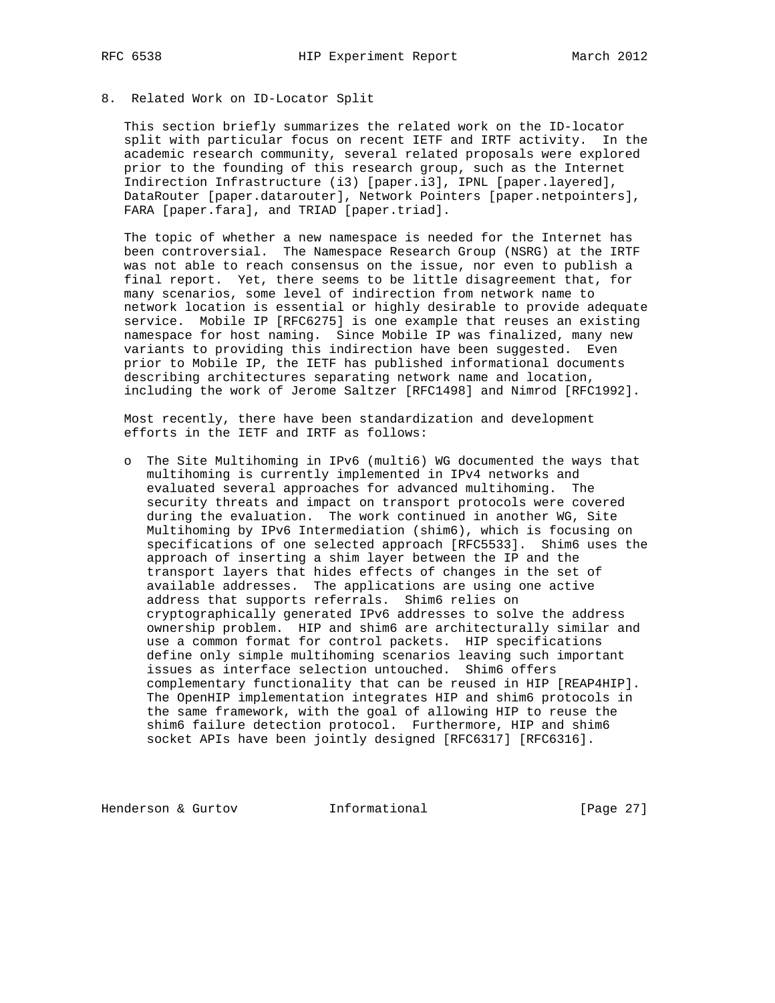# 8. Related Work on ID-Locator Split

 This section briefly summarizes the related work on the ID-locator split with particular focus on recent IETF and IRTF activity. In the academic research community, several related proposals were explored prior to the founding of this research group, such as the Internet Indirection Infrastructure (i3) [paper.i3], IPNL [paper.layered], DataRouter [paper.datarouter], Network Pointers [paper.netpointers], FARA [paper.fara], and TRIAD [paper.triad].

 The topic of whether a new namespace is needed for the Internet has been controversial. The Namespace Research Group (NSRG) at the IRTF was not able to reach consensus on the issue, nor even to publish a final report. Yet, there seems to be little disagreement that, for many scenarios, some level of indirection from network name to network location is essential or highly desirable to provide adequate service. Mobile IP [RFC6275] is one example that reuses an existing namespace for host naming. Since Mobile IP was finalized, many new variants to providing this indirection have been suggested. Even prior to Mobile IP, the IETF has published informational documents describing architectures separating network name and location, including the work of Jerome Saltzer [RFC1498] and Nimrod [RFC1992].

 Most recently, there have been standardization and development efforts in the IETF and IRTF as follows:

 o The Site Multihoming in IPv6 (multi6) WG documented the ways that multihoming is currently implemented in IPv4 networks and evaluated several approaches for advanced multihoming. The security threats and impact on transport protocols were covered during the evaluation. The work continued in another WG, Site Multihoming by IPv6 Intermediation (shim6), which is focusing on specifications of one selected approach [RFC5533]. Shim6 uses the approach of inserting a shim layer between the IP and the transport layers that hides effects of changes in the set of available addresses. The applications are using one active address that supports referrals. Shim6 relies on cryptographically generated IPv6 addresses to solve the address ownership problem. HIP and shim6 are architecturally similar and use a common format for control packets. HIP specifications define only simple multihoming scenarios leaving such important issues as interface selection untouched. Shim6 offers complementary functionality that can be reused in HIP [REAP4HIP]. The OpenHIP implementation integrates HIP and shim6 protocols in the same framework, with the goal of allowing HIP to reuse the shim6 failure detection protocol. Furthermore, HIP and shim6 socket APIs have been jointly designed [RFC6317] [RFC6316].

Henderson & Gurtov **Informational** [Page 27]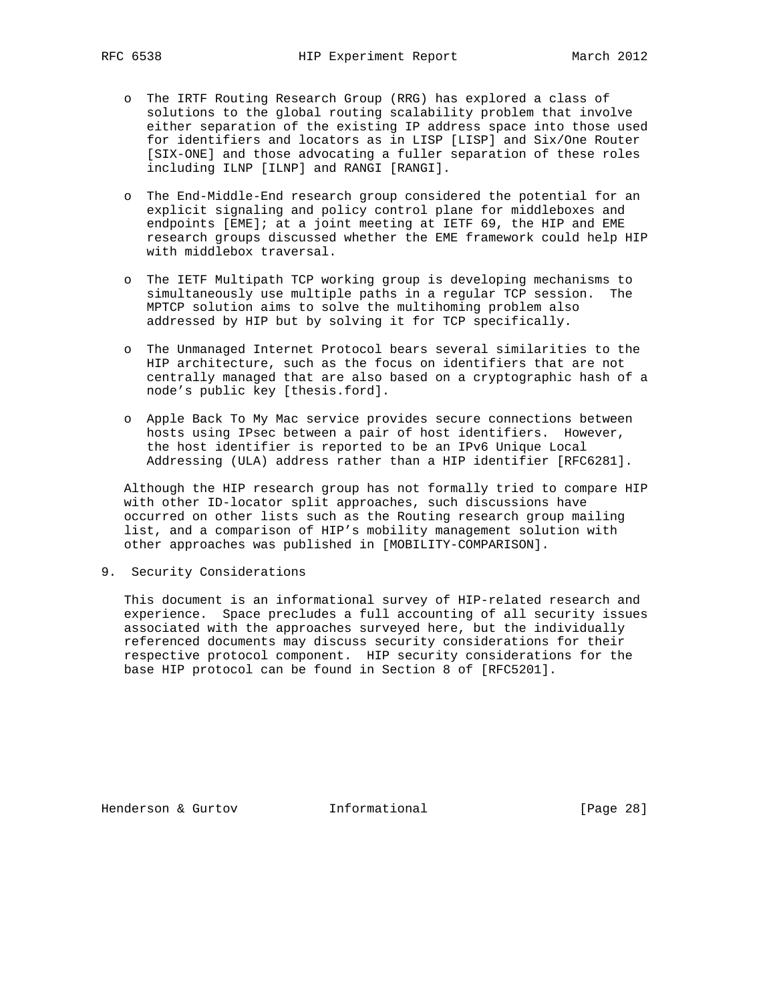- o The IRTF Routing Research Group (RRG) has explored a class of solutions to the global routing scalability problem that involve either separation of the existing IP address space into those used for identifiers and locators as in LISP [LISP] and Six/One Router [SIX-ONE] and those advocating a fuller separation of these roles including ILNP [ILNP] and RANGI [RANGI].
- o The End-Middle-End research group considered the potential for an explicit signaling and policy control plane for middleboxes and endpoints [EME]; at a joint meeting at IETF 69, the HIP and EME research groups discussed whether the EME framework could help HIP with middlebox traversal.
- o The IETF Multipath TCP working group is developing mechanisms to simultaneously use multiple paths in a regular TCP session. The MPTCP solution aims to solve the multihoming problem also addressed by HIP but by solving it for TCP specifically.
- o The Unmanaged Internet Protocol bears several similarities to the HIP architecture, such as the focus on identifiers that are not centrally managed that are also based on a cryptographic hash of a node's public key [thesis.ford].
- o Apple Back To My Mac service provides secure connections between hosts using IPsec between a pair of host identifiers. However, the host identifier is reported to be an IPv6 Unique Local Addressing (ULA) address rather than a HIP identifier [RFC6281].

 Although the HIP research group has not formally tried to compare HIP with other ID-locator split approaches, such discussions have occurred on other lists such as the Routing research group mailing list, and a comparison of HIP's mobility management solution with other approaches was published in [MOBILITY-COMPARISON].

9. Security Considerations

 This document is an informational survey of HIP-related research and experience. Space precludes a full accounting of all security issues associated with the approaches surveyed here, but the individually referenced documents may discuss security considerations for their respective protocol component. HIP security considerations for the base HIP protocol can be found in Section 8 of [RFC5201].

Henderson & Gurtov **Informational** [Page 28]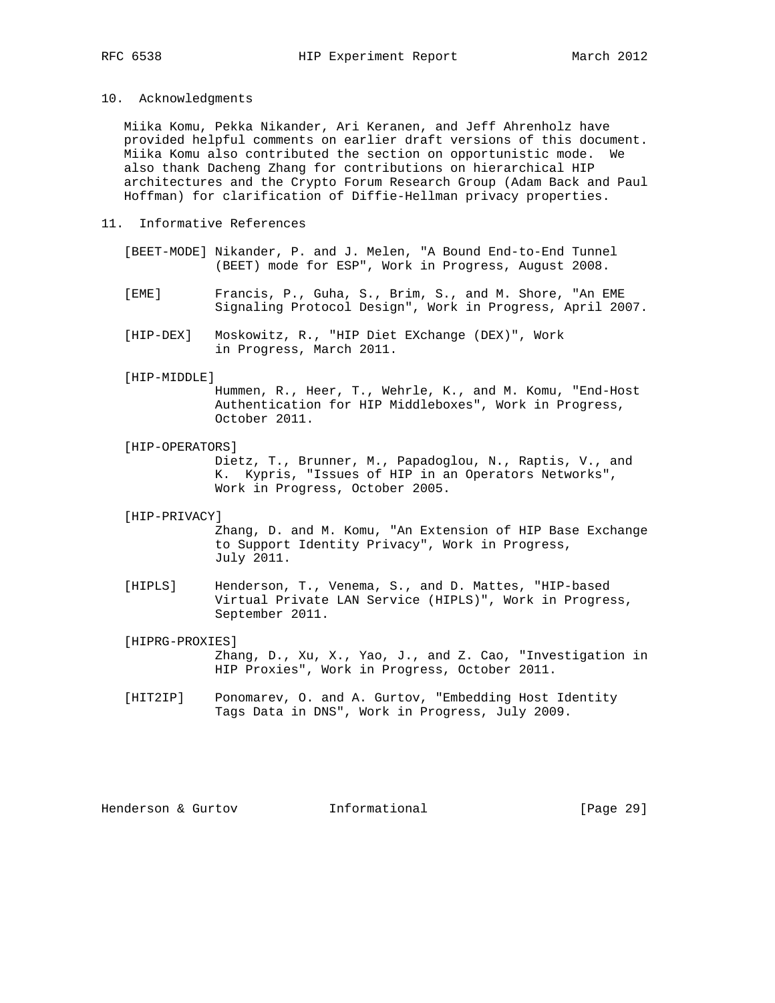10. Acknowledgments

 Miika Komu, Pekka Nikander, Ari Keranen, and Jeff Ahrenholz have provided helpful comments on earlier draft versions of this document. Miika Komu also contributed the section on opportunistic mode. We also thank Dacheng Zhang for contributions on hierarchical HIP architectures and the Crypto Forum Research Group (Adam Back and Paul Hoffman) for clarification of Diffie-Hellman privacy properties.

- 11. Informative References
	- [BEET-MODE] Nikander, P. and J. Melen, "A Bound End-to-End Tunnel (BEET) mode for ESP", Work in Progress, August 2008.
	- [EME] Francis, P., Guha, S., Brim, S., and M. Shore, "An EME Signaling Protocol Design", Work in Progress, April 2007.
	- [HIP-DEX] Moskowitz, R., "HIP Diet EXchange (DEX)", Work in Progress, March 2011.

#### [HIP-MIDDLE]

 Hummen, R., Heer, T., Wehrle, K., and M. Komu, "End-Host Authentication for HIP Middleboxes", Work in Progress, October 2011.

[HIP-OPERATORS]

 Dietz, T., Brunner, M., Papadoglou, N., Raptis, V., and K. Kypris, "Issues of HIP in an Operators Networks", Work in Progress, October 2005.

## [HIP-PRIVACY]

 Zhang, D. and M. Komu, "An Extension of HIP Base Exchange to Support Identity Privacy", Work in Progress, July 2011.

 [HIPLS] Henderson, T., Venema, S., and D. Mattes, "HIP-based Virtual Private LAN Service (HIPLS)", Work in Progress, September 2011.

## [HIPRG-PROXIES]

 Zhang, D., Xu, X., Yao, J., and Z. Cao, "Investigation in HIP Proxies", Work in Progress, October 2011.

 [HIT2IP] Ponomarev, O. and A. Gurtov, "Embedding Host Identity Tags Data in DNS", Work in Progress, July 2009.

Henderson & Gurtov **Informational** [Page 29]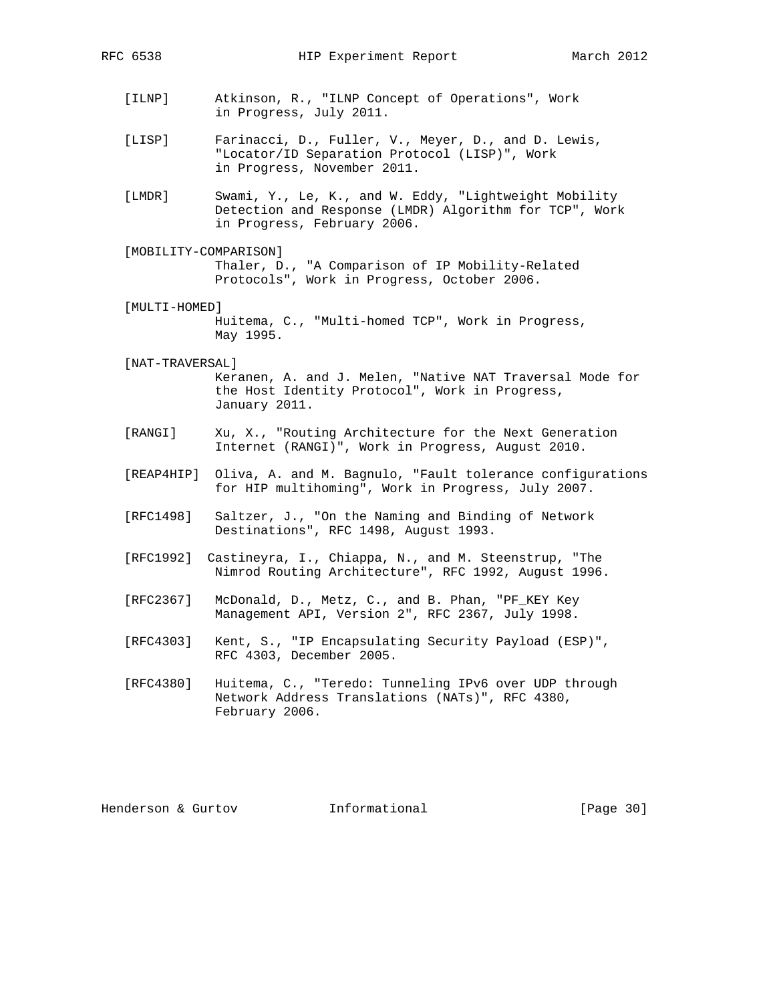- [ILNP] Atkinson, R., "ILNP Concept of Operations", Work in Progress, July 2011.
- [LISP] Farinacci, D., Fuller, V., Meyer, D., and D. Lewis, "Locator/ID Separation Protocol (LISP)", Work in Progress, November 2011.
- [LMDR] Swami, Y., Le, K., and W. Eddy, "Lightweight Mobility Detection and Response (LMDR) Algorithm for TCP", Work in Progress, February 2006.
- [MOBILITY-COMPARISON] Thaler, D., "A Comparison of IP Mobility-Related Protocols", Work in Progress, October 2006.
- [MULTI-HOMED] Huitema, C., "Multi-homed TCP", Work in Progress, May 1995.
- [NAT-TRAVERSAL] Keranen, A. and J. Melen, "Native NAT Traversal Mode for the Host Identity Protocol", Work in Progress, January 2011.
- [RANGI] Xu, X., "Routing Architecture for the Next Generation Internet (RANGI)", Work in Progress, August 2010.
- [REAP4HIP] Oliva, A. and M. Bagnulo, "Fault tolerance configurations for HIP multihoming", Work in Progress, July 2007.
- [RFC1498] Saltzer, J., "On the Naming and Binding of Network Destinations", RFC 1498, August 1993.
- [RFC1992] Castineyra, I., Chiappa, N., and M. Steenstrup, "The Nimrod Routing Architecture", RFC 1992, August 1996.
- [RFC2367] McDonald, D., Metz, C., and B. Phan, "PF\_KEY Key Management API, Version 2", RFC 2367, July 1998.
- [RFC4303] Kent, S., "IP Encapsulating Security Payload (ESP)", RFC 4303, December 2005.
- [RFC4380] Huitema, C., "Teredo: Tunneling IPv6 over UDP through Network Address Translations (NATs)", RFC 4380, February 2006.

Henderson & Gurtov **Informational** [Page 30]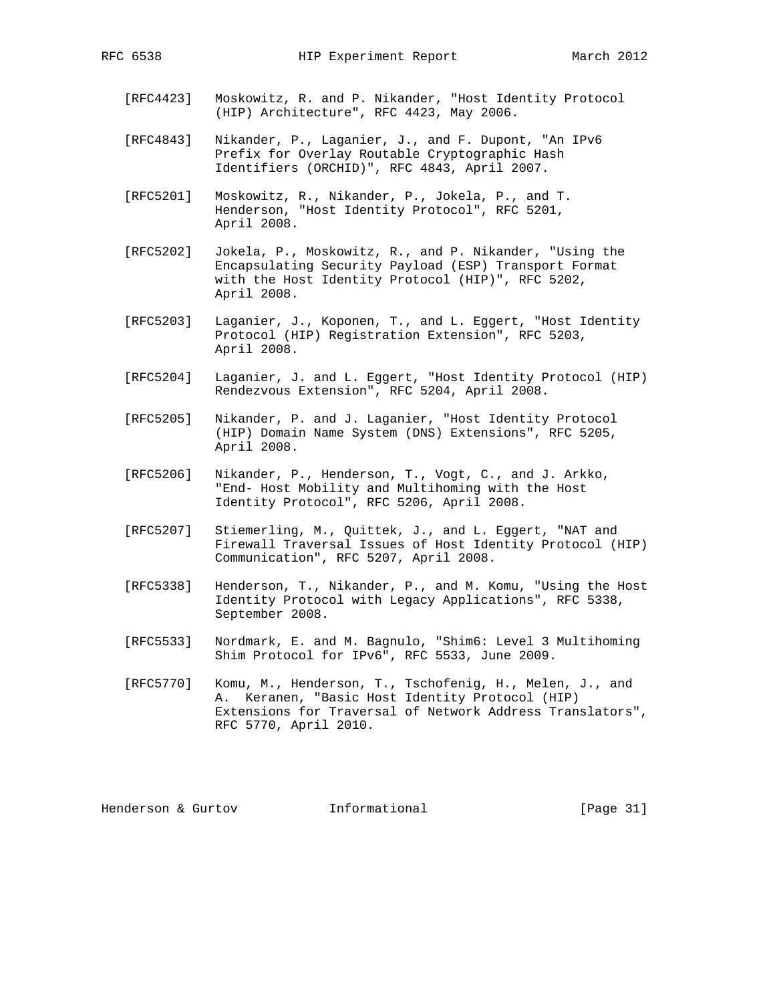- [RFC4423] Moskowitz, R. and P. Nikander, "Host Identity Protocol (HIP) Architecture", RFC 4423, May 2006.
- [RFC4843] Nikander, P., Laganier, J., and F. Dupont, "An IPv6 Prefix for Overlay Routable Cryptographic Hash Identifiers (ORCHID)", RFC 4843, April 2007.
- [RFC5201] Moskowitz, R., Nikander, P., Jokela, P., and T. Henderson, "Host Identity Protocol", RFC 5201, April 2008.
- [RFC5202] Jokela, P., Moskowitz, R., and P. Nikander, "Using the Encapsulating Security Payload (ESP) Transport Format with the Host Identity Protocol (HIP)", RFC 5202, April 2008.
- [RFC5203] Laganier, J., Koponen, T., and L. Eggert, "Host Identity Protocol (HIP) Registration Extension", RFC 5203, April 2008.
- [RFC5204] Laganier, J. and L. Eggert, "Host Identity Protocol (HIP) Rendezvous Extension", RFC 5204, April 2008.
- [RFC5205] Nikander, P. and J. Laganier, "Host Identity Protocol (HIP) Domain Name System (DNS) Extensions", RFC 5205, April 2008.
- [RFC5206] Nikander, P., Henderson, T., Vogt, C., and J. Arkko, "End- Host Mobility and Multihoming with the Host Identity Protocol", RFC 5206, April 2008.
- [RFC5207] Stiemerling, M., Quittek, J., and L. Eggert, "NAT and Firewall Traversal Issues of Host Identity Protocol (HIP) Communication", RFC 5207, April 2008.
- [RFC5338] Henderson, T., Nikander, P., and M. Komu, "Using the Host Identity Protocol with Legacy Applications", RFC 5338, September 2008.
- [RFC5533] Nordmark, E. and M. Bagnulo, "Shim6: Level 3 Multihoming Shim Protocol for IPv6", RFC 5533, June 2009.
- [RFC5770] Komu, M., Henderson, T., Tschofenig, H., Melen, J., and A. Keranen, "Basic Host Identity Protocol (HIP) Extensions for Traversal of Network Address Translators", RFC 5770, April 2010.

Henderson & Gurtov **Informational** [Page 31]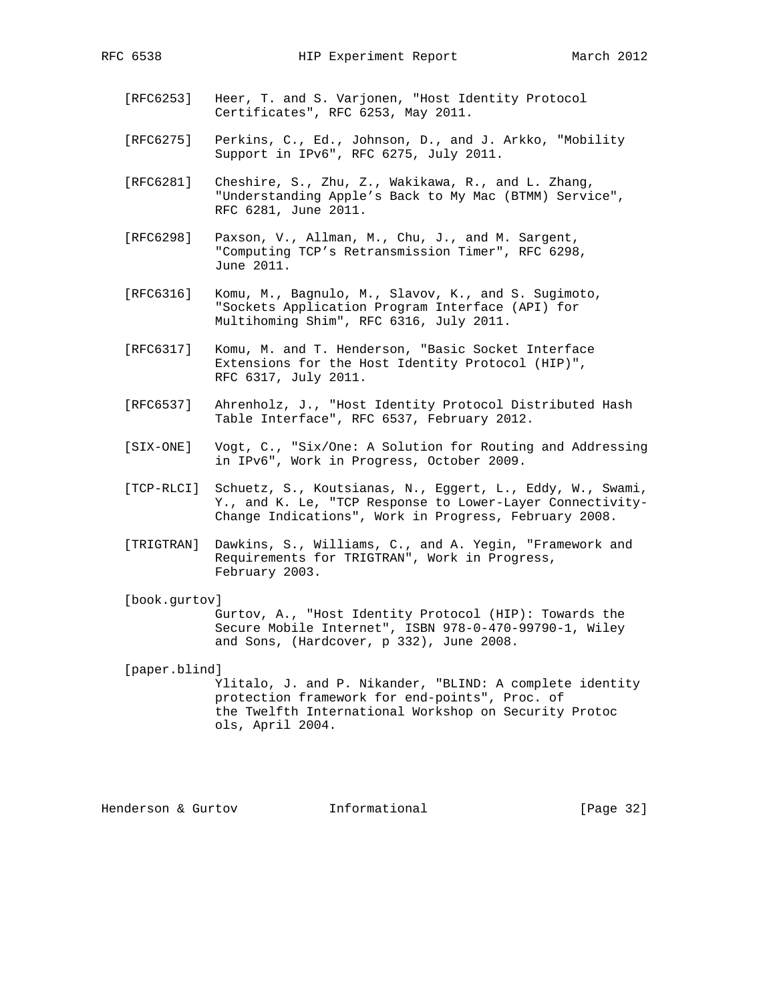- [RFC6253] Heer, T. and S. Varjonen, "Host Identity Protocol Certificates", RFC 6253, May 2011.
- [RFC6275] Perkins, C., Ed., Johnson, D., and J. Arkko, "Mobility Support in IPv6", RFC 6275, July 2011.
- [RFC6281] Cheshire, S., Zhu, Z., Wakikawa, R., and L. Zhang, "Understanding Apple's Back to My Mac (BTMM) Service", RFC 6281, June 2011.
- [RFC6298] Paxson, V., Allman, M., Chu, J., and M. Sargent, "Computing TCP's Retransmission Timer", RFC 6298, June 2011.
- [RFC6316] Komu, M., Bagnulo, M., Slavov, K., and S. Sugimoto, "Sockets Application Program Interface (API) for Multihoming Shim", RFC 6316, July 2011.
- [RFC6317] Komu, M. and T. Henderson, "Basic Socket Interface Extensions for the Host Identity Protocol (HIP)", RFC 6317, July 2011.
- [RFC6537] Ahrenholz, J., "Host Identity Protocol Distributed Hash Table Interface", RFC 6537, February 2012.
- [SIX-ONE] Vogt, C., "Six/One: A Solution for Routing and Addressing in IPv6", Work in Progress, October 2009.
- [TCP-RLCI] Schuetz, S., Koutsianas, N., Eggert, L., Eddy, W., Swami, Y., and K. Le, "TCP Response to Lower-Layer Connectivity- Change Indications", Work in Progress, February 2008.
- [TRIGTRAN] Dawkins, S., Williams, C., and A. Yegin, "Framework and Requirements for TRIGTRAN", Work in Progress, February 2003.
- [book.gurtov]

 Gurtov, A., "Host Identity Protocol (HIP): Towards the Secure Mobile Internet", ISBN 978-0-470-99790-1, Wiley and Sons, (Hardcover, p 332), June 2008.

[paper.blind]

 Ylitalo, J. and P. Nikander, "BLIND: A complete identity protection framework for end-points", Proc. of the Twelfth International Workshop on Security Protoc ols, April 2004.

Henderson & Gurtov **Informational** [Page 32]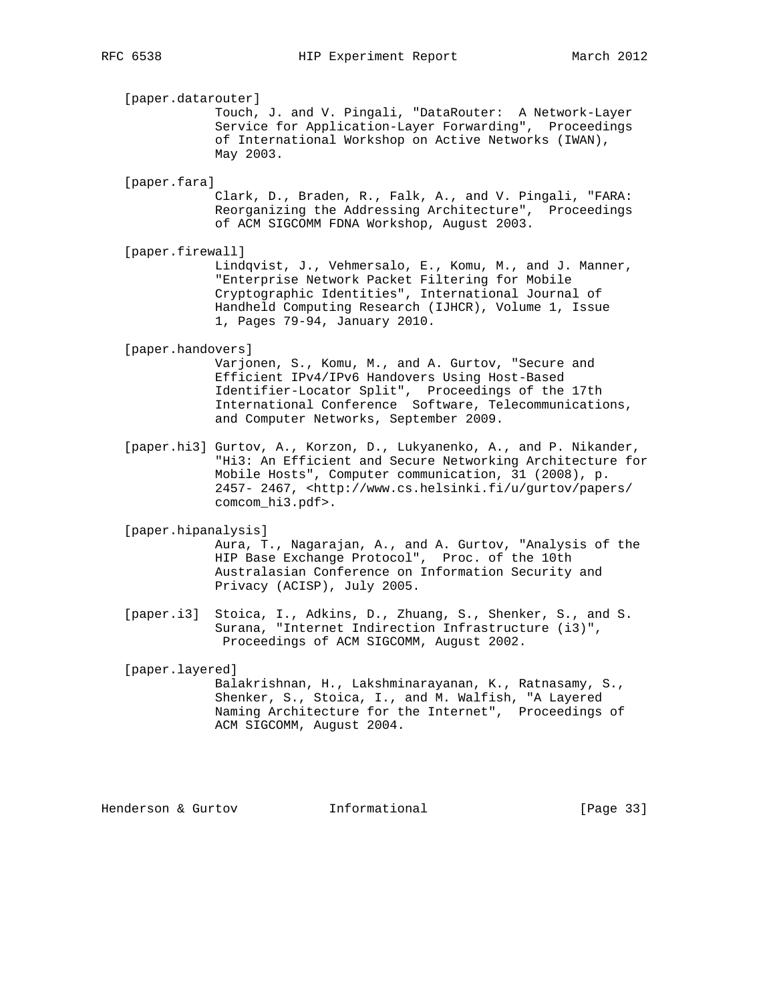[paper.datarouter]

 Touch, J. and V. Pingali, "DataRouter: A Network-Layer Service for Application-Layer Forwarding", Proceedings of International Workshop on Active Networks (IWAN), May 2003.

[paper.fara]

 Clark, D., Braden, R., Falk, A., and V. Pingali, "FARA: Reorganizing the Addressing Architecture", Proceedings of ACM SIGCOMM FDNA Workshop, August 2003.

[paper.firewall]

 Lindqvist, J., Vehmersalo, E., Komu, M., and J. Manner, "Enterprise Network Packet Filtering for Mobile Cryptographic Identities", International Journal of Handheld Computing Research (IJHCR), Volume 1, Issue 1, Pages 79-94, January 2010.

# [paper.handovers]

 Varjonen, S., Komu, M., and A. Gurtov, "Secure and Efficient IPv4/IPv6 Handovers Using Host-Based Identifier-Locator Split", Proceedings of the 17th International Conference Software, Telecommunications, and Computer Networks, September 2009.

 [paper.hi3] Gurtov, A., Korzon, D., Lukyanenko, A., and P. Nikander, "Hi3: An Efficient and Secure Networking Architecture for Mobile Hosts", Computer communication, 31 (2008), p. 2457- 2467, <http://www.cs.helsinki.fi/u/gurtov/papers/ comcom\_hi3.pdf>.

[paper.hipanalysis]

 Aura, T., Nagarajan, A., and A. Gurtov, "Analysis of the HIP Base Exchange Protocol", Proc. of the 10th Australasian Conference on Information Security and Privacy (ACISP), July 2005.

 [paper.i3] Stoica, I., Adkins, D., Zhuang, S., Shenker, S., and S. Surana, "Internet Indirection Infrastructure (i3)", Proceedings of ACM SIGCOMM, August 2002.

 [paper.layered] Balakrishnan, H., Lakshminarayanan, K., Ratnasamy, S., Shenker, S., Stoica, I., and M. Walfish, "A Layered Naming Architecture for the Internet", Proceedings of ACM SIGCOMM, August 2004.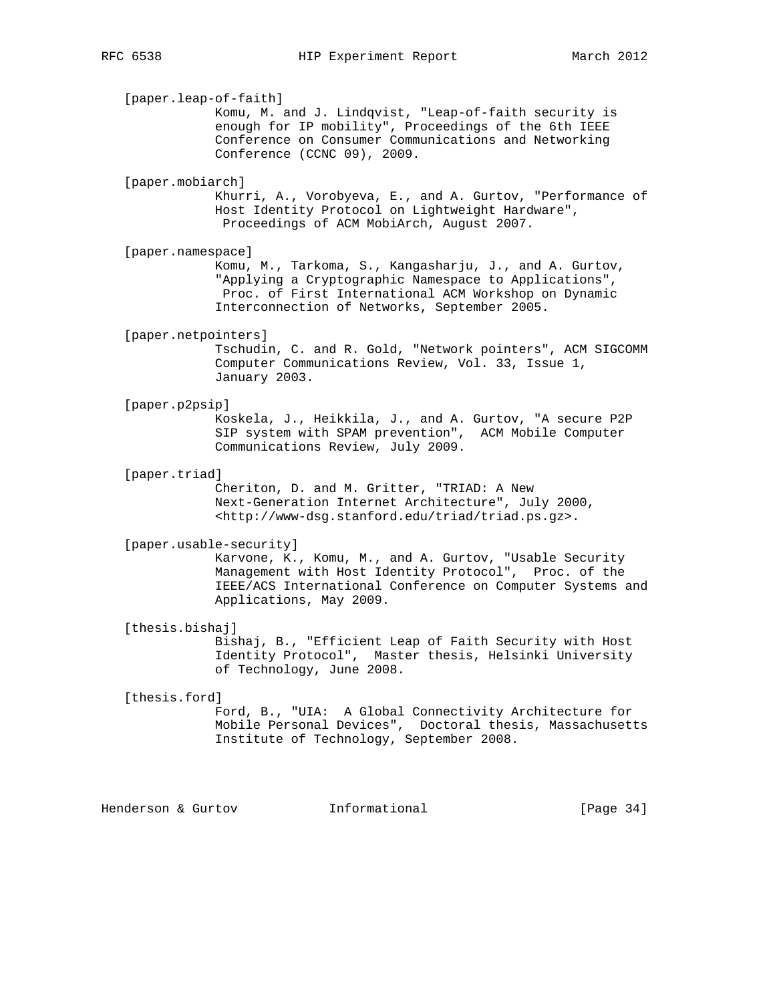[paper.leap-of-faith] Komu, M. and J. Lindqvist, "Leap-of-faith security is enough for IP mobility", Proceedings of the 6th IEEE Conference on Consumer Communications and Networking Conference (CCNC 09), 2009. [paper.mobiarch] Khurri, A., Vorobyeva, E., and A. Gurtov, "Performance of Host Identity Protocol on Lightweight Hardware", Proceedings of ACM MobiArch, August 2007. [paper.namespace] Komu, M., Tarkoma, S., Kangasharju, J., and A. Gurtov, "Applying a Cryptographic Namespace to Applications", Proc. of First International ACM Workshop on Dynamic Interconnection of Networks, September 2005. [paper.netpointers] Tschudin, C. and R. Gold, "Network pointers", ACM SIGCOMM Computer Communications Review, Vol. 33, Issue 1, January 2003. [paper.p2psip] Koskela, J., Heikkila, J., and A. Gurtov, "A secure P2P SIP system with SPAM prevention", ACM Mobile Computer Communications Review, July 2009. [paper.triad] Cheriton, D. and M. Gritter, "TRIAD: A New Next-Generation Internet Architecture", July 2000, <http://www-dsg.stanford.edu/triad/triad.ps.gz>. [paper.usable-security] Karvone, K., Komu, M., and A. Gurtov, "Usable Security Management with Host Identity Protocol", Proc. of the IEEE/ACS International Conference on Computer Systems and Applications, May 2009. [thesis.bishaj] Bishaj, B., "Efficient Leap of Faith Security with Host Identity Protocol", Master thesis, Helsinki University of Technology, June 2008. [thesis.ford] Ford, B., "UIA: A Global Connectivity Architecture for Mobile Personal Devices", Doctoral thesis, Massachusetts Institute of Technology, September 2008.

Henderson & Gurtov **Informational** [Page 34]